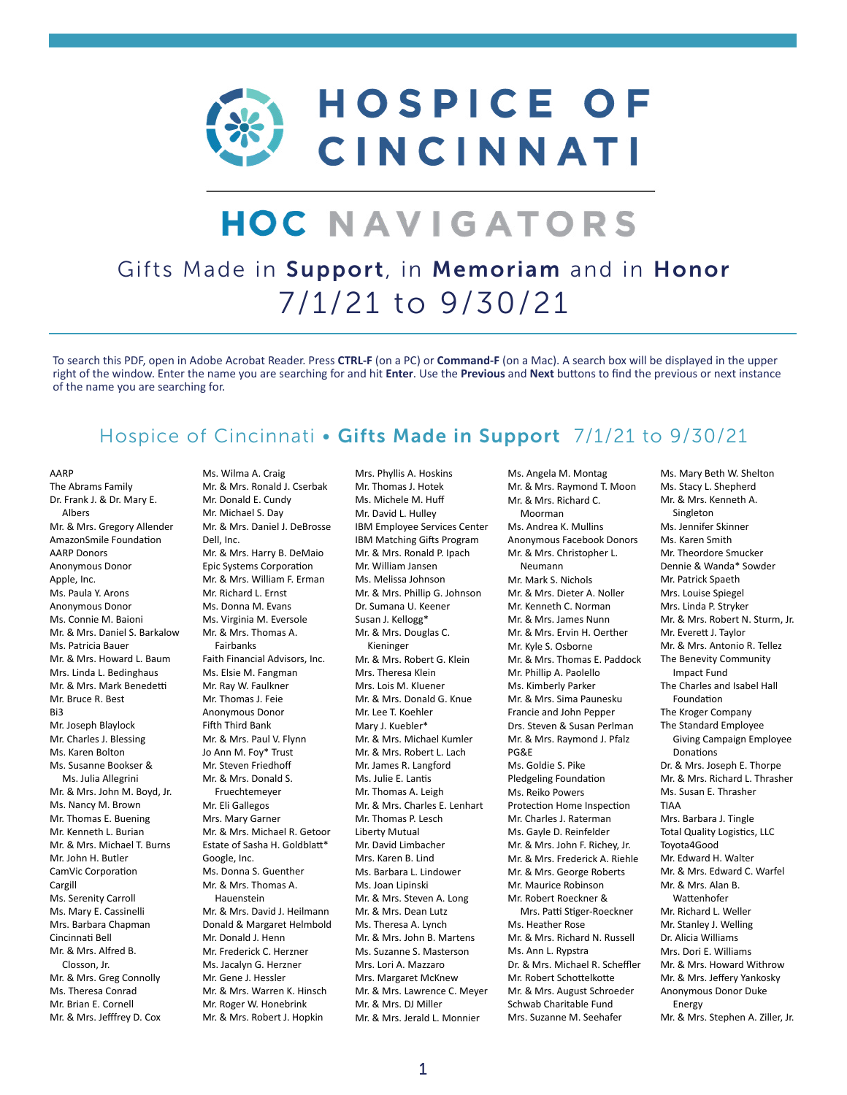

# **HOC NAVIGATORS**

### Gifts Made in Support, in Memoriam and in Honor 7/1/21 to 9/30/21

To search this PDF, open in Adobe Acrobat Reader. Press **CTRL-F** (on a PC) or **Command-F** (on a Mac). A search box will be displayed in the upper right of the window. Enter the name you are searching for and hit **Enter**. Use the **Previous** and **Next** buttons to find the previous or next instance of the name you are searching for.

#### Hospice of Cincinnati • Gifts Made in Support 7/1/21 to 9/30/21

AARP

The Abrams Family Dr. Frank J. & Dr. Mary E. Albers Mr. & Mrs. Gregory Allender AmazonSmile Foundation AARP Donors Anonymous Donor Apple, Inc. Ms. Paula Y. Arons Anonymous Donor Ms. Connie M. Baioni Mr. & Mrs. Daniel S. Barkalow Ms. Patricia Bauer Mr. & Mrs. Howard L. Baum Mrs. Linda L. Bedinghaus Mr. & Mrs. Mark Benedetti Mr. Bruce R. Best Bi3 Mr. Joseph Blaylock Mr. Charles J. Blessing Ms. Karen Bolton Ms. Susanne Bookser & Ms. Julia Allegrini Mr. & Mrs. John M. Boyd, Jr. Ms. Nancy M. Brown Mr. Thomas E. Buening Mr. Kenneth L. Burian Mr. & Mrs. Michael T. Burns. Mr. John H. Butler CamVic Corporation Cargill Ms. Serenity Carroll Ms. Mary E. Cassinelli Mrs. Barbara Chapman Cincinnati Bell Mr. & Mrs. Alfred B. Closson, Jr. Mr. & Mrs. Greg Connolly Ms. Theresa Conrad Mr. Brian E. Cornell Mr. & Mrs. Jefffrey D. Cox

Ms. Wilma A. Craig Mr. & Mrs. Ronald J. Cserbak Mr. Donald E. Cundy Mr. Michael S. Day Mr. & Mrs. Daniel J. DeBrosse Dell, Inc. Mr. & Mrs. Harry B. DeMaio Epic Systems Corporation Mr. & Mrs. William F. Erman Mr. Richard L. Ernst Ms. Donna M. Evans Ms. Virginia M. Eversole Mr. & Mrs. Thomas A. Fairbanks Faith Financial Advisors, Inc. Ms. Elsie M. Fangman Mr. Ray W. Faulkner Mr. Thomas J. Feie Anonymous Donor Fifth Third Bank Mr. & Mrs. Paul V. Flynn Jo Ann M. Foy\* Trust Mr. Steven Friedhoff Mr. & Mrs. Donald S. Fruechtemeyer Mr. Eli Gallegos Mrs. Mary Garner Mr. & Mrs. Michael R. Getoor Estate of Sasha H. Goldblatt\* Google, Inc. Ms. Donna S. Guenther Mr. & Mrs. Thomas A. Hauenstein Mr. & Mrs. David J. Heilmann Donald & Margaret Helmbold Mr. Donald J. Henn Mr. Frederick C. Herzner Ms. Jacalyn G. Herzner Mr. Gene J. Hessler Mr. & Mrs. Warren K. Hinsch Mr. Roger W. Honebrink Mr. & Mrs. Robert J. Hopkin

Mrs. Phyllis A. Hoskins Mr. Thomas J. Hotek Ms. Michele M. Huff Mr. David L. Hulley IBM Employee Services Center IBM Matching Gifts Program Mr. & Mrs. Ronald P. Ipach Mr. William Jansen Ms. Melissa Johnson Mr. & Mrs. Phillip G. Johnson Dr. Sumana U. Keener Susan J. Kellogg\* Mr. & Mrs. Douglas C. Kieninger Mr. & Mrs. Robert G. Klein Mrs. Theresa Klein Mrs. Lois M. Kluener Mr. & Mrs. Donald G. Knue Mr. Lee T. Koehler Mary J. Kuebler\* Mr. & Mrs. Michael Kumler Mr. & Mrs. Robert L. Lach Mr. James R. Langford Ms. Julie E. Lantis Mr. Thomas A. Leigh Mr. & Mrs. Charles E. Lenhart Mr. Thomas P. Lesch Liberty Mutual Mr. David Limbacher Mrs. Karen B. Lind Ms. Barbara L. Lindower Ms. Joan Lipinski Mr. & Mrs. Steven A. Long Mr. & Mrs. Dean Lutz Ms. Theresa A. Lynch Mr. & Mrs. John B. Martens Ms. Suzanne S. Masterson Mrs. Lori A. Mazzaro Mrs. Margaret McKnew Mr. & Mrs. Lawrence C. Meyer Mr. & Mrs. DJ Miller Mr. & Mrs. Jerald L. Monnier

Ms. Angela M. Montag Mr. & Mrs. Raymond T. Moon Mr. & Mrs. Richard C. Moorman Ms. Andrea K. Mullins Anonymous Facebook Donors Mr. & Mrs. Christopher L. Neumann Mr. Mark S. Nichols Mr. & Mrs. Dieter A. Noller Mr. Kenneth C. Norman Mr. & Mrs. James Nunn Mr. & Mrs. Ervin H. Oerther Mr. Kyle S. Osborne Mr. & Mrs. Thomas E. Paddock Mr. Phillip A. Paolello Ms. Kimberly Parker Mr. & Mrs. Sima Paunesku Francie and John Pepper Drs. Steven & Susan Perlman Mr. & Mrs. Raymond J. Pfalz PG&E Ms. Goldie S. Pike Pledgeling Foundation Ms. Reiko Powers Protection Home Inspection Mr. Charles J. Raterman Ms. Gayle D. Reinfelder Mr. & Mrs. John F. Richey, Jr. Mr. & Mrs. Frederick A. Riehle Mr. & Mrs. George Roberts Mr. Maurice Robinson Mr. Robert Roeckner & Mrs. Patti Stiger-Roeckner Ms. Heather Rose Mr. & Mrs. Richard N. Russell Ms. Ann L. Rypstra Dr. & Mrs. Michael R. Scheffler Mr. Robert Schottelkotte Mr. & Mrs. August Schroeder Schwab Charitable Fund Mrs. Suzanne M. Seehafer

Ms. Mary Beth W. Shelton Ms. Stacy L. Shepherd Mr. & Mrs. Kenneth A. Singleton Ms. Jennifer Skinner Ms. Karen Smith Mr. Theordore Smucker Dennie & Wanda\* Sowder Mr. Patrick Spaeth Mrs. Louise Spiegel Mrs. Linda P. Stryker Mr. & Mrs. Robert N. Sturm, Jr. Mr. Everett J. Taylor Mr. & Mrs. Antonio R. Tellez The Benevity Community Impact Fund The Charles and Isabel Hall Foundation The Kroger Company The Standard Employee Giving Campaign Employee Donations Dr. & Mrs. Joseph E. Thorpe Mr. & Mrs. Richard L. Thrasher Ms. Susan E. Thrasher TIAA Mrs. Barbara J. Tingle Total Quality Logistics, LLC Toyota4Good Mr. Edward H. Walter Mr. & Mrs. Edward C. Warfel Mr. & Mrs. Alan B. Wattenhofer Mr. Richard L. Weller Mr. Stanley J. Welling Dr. Alicia Williams Mrs. Dori E. Williams Mr. & Mrs. Howard Withrow Mr. & Mrs. Jeffery Yankosky Anonymous Donor Duke Energy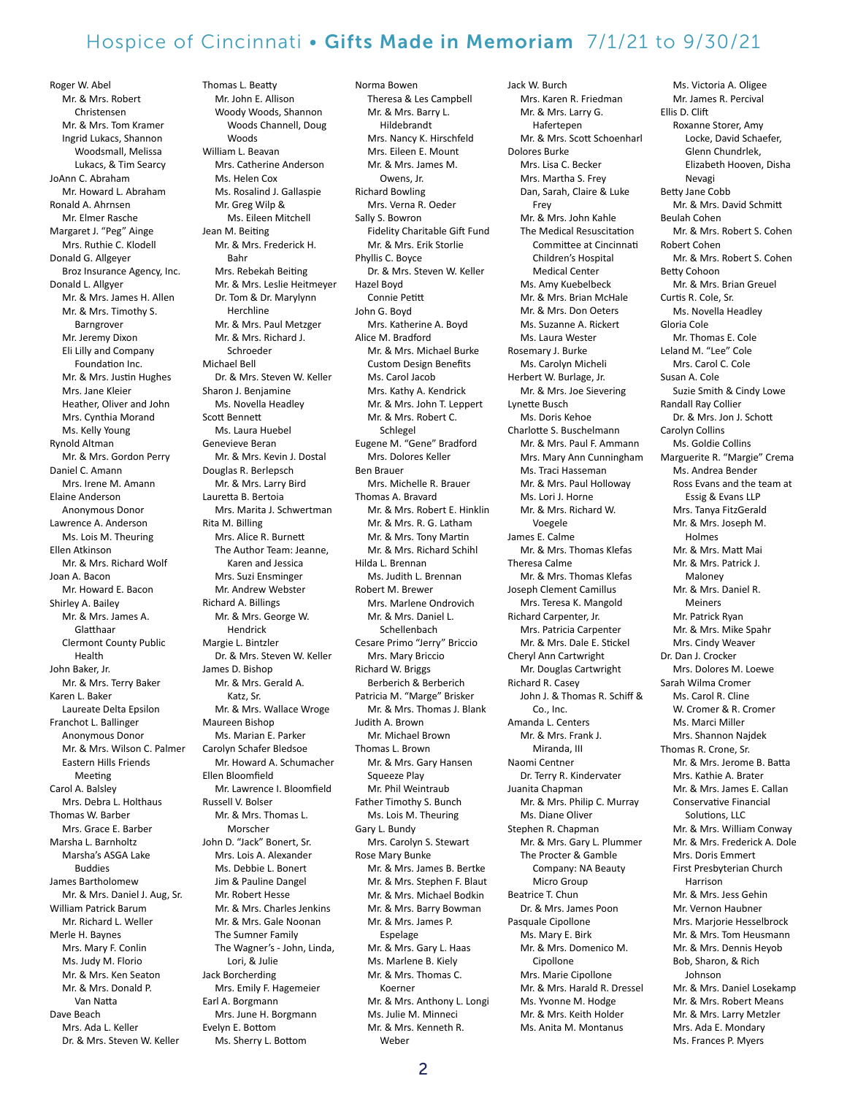Roger W. Abel Mr. & Mrs. Robert Christensen Mr. & Mrs. Tom Kramer Ingrid Lukacs, Shannon Woodsmall, Melissa Lukacs, & Tim Searcy JoAnn C. Abraham Mr. Howard L. Abraham Ronald A. Ahrnsen Mr. Elmer Rasche Margaret J. "Peg" Ainge Mrs. Ruthie C. Klodell Donald G. Allgeyer Broz Insurance Agency, Inc. Donald L. Allgyer Mr. & Mrs. James H. Allen Mr. & Mrs. Timothy S. Barngrover Mr. Jeremy Dixon Eli Lilly and Company Foundation Inc. Mr. & Mrs. Justin Hughes Mrs. Jane Kleier Heather, Oliver and John Mrs. Cynthia Morand Ms. Kelly Young Rynold Altman Mr. & Mrs. Gordon Perry Daniel C. Amann Mrs. Irene M. Amann Elaine Anderson Anonymous Donor Lawrence A. Anderson Ms. Lois M. Theuring Ellen Atkinson Mr. & Mrs. Richard Wolf Joan A. Bacon Mr. Howard E. Bacon Shirley A. Bailey Mr. & Mrs. James A. Glatthaar Clermont County Public Health John Baker, Jr. Mr. & Mrs. Terry Baker Karen L. Baker Laureate Delta Epsilon Franchot L. Ballinger Anonymous Donor Mr. & Mrs. Wilson C. Palmer Eastern Hills Friends Meeting Carol A. Balsley Mrs. Debra L. Holthaus Thomas W. Barber Mrs. Grace E. Barber Marsha L. Barnholtz Marsha's ASGA Lake Buddies James Bartholomew Mr. & Mrs. Daniel J. Aug, Sr. William Patrick Barum Mr. Richard L. Weller Merle H. Baynes Mrs. Mary F. Conlin Ms. Judy M. Florio Mr. & Mrs. Ken Seaton Mr. & Mrs. Donald P. Van Natta Dave Beach Mrs. Ada L. Keller Dr. & Mrs. Steven W. Keller

Thomas L. Beatty Mr. John E. Allison Woody Woods, Shannon Woods Channell, Doug Woods William L. Beavan Mrs. Catherine Anderson Ms. Helen Cox Ms. Rosalind J. Gallaspie Mr. Greg Wilp & Ms. Eileen Mitchell Jean M. Beiting Mr. & Mrs. Frederick H. Bahr Mrs. Rebekah Beiting Mr. & Mrs. Leslie Heitmeyer Dr. Tom & Dr. Marylynn Herchline Mr. & Mrs. Paul Metzger Mr. & Mrs. Richard J. Schroeder Michael Bell Dr. & Mrs. Steven W. Keller Sharon J. Benjamine Ms. Novella Headley Scott Bennett Ms. Laura Huebel Genevieve Beran Mr. & Mrs. Kevin J. Dostal Douglas R. Berlepsch Mr. & Mrs. Larry Bird Lauretta B. Bertoia Mrs. Marita J. Schwertman Rita M. Billing Mrs. Alice R. Burnett The Author Team: Jeanne, Karen and Jessica Mrs. Suzi Ensminger Mr. Andrew Webster Richard A. Billings Mr. & Mrs. George W. Hendrick Margie L. Bintzler Dr. & Mrs. Steven W. Keller James D. Bishop Mr. & Mrs. Gerald A. Katz, Sr. Mr. & Mrs. Wallace Wroge Maureen Bishop Ms. Marian E. Parker Carolyn Schafer Bledsoe Mr. Howard A. Schumacher Ellen Bloomfield Mr. Lawrence I. Bloomfield Russell V. Bolser Mr. & Mrs. Thomas L. Morscher John D. "Jack" Bonert, Sr. Mrs. Lois A. Alexander Ms. Debbie L. Bonert Jim & Pauline Dangel Mr. Robert Hesse Mr. & Mrs. Charles Jenkins Mr. & Mrs. Gale Noonan The Sumner Family The Wagner's - John, Linda, Lori, & Julie Jack Borcherding Mrs. Emily F. Hagemeier Earl A. Borgmann Mrs. June H. Borgmann Evelyn E. Bottom Ms. Sherry L. Bottom

Norma Bowen Theresa & Les Campbell Mr. & Mrs. Barry L. Hildebrandt Mrs. Nancy K. Hirschfeld Mrs. Eileen E. Mount Mr. & Mrs. James M. Owens, Jr. Richard Bowling Mrs. Verna R. Oeder Sally S. Bowron Fidelity Charitable Gift Fund Mr. & Mrs. Erik Storlie Phyllis C. Boyce Dr. & Mrs. Steven W. Keller Hazel Boyd Connie Petitt John G. Boyd Mrs. Katherine A. Boyd Alice M. Bradford Mr. & Mrs. Michael Burke Custom Design Benefits Ms. Carol Jacob Mrs. Kathy A. Kendrick Mr. & Mrs. John T. Leppert Mr. & Mrs. Robert C. Schlegel Eugene M. "Gene" Bradford Mrs. Dolores Keller Ben Brauer Mrs. Michelle R. Brauer Thomas A. Bravard Mr. & Mrs. Robert E. Hinklin Mr. & Mrs. R. G. Latham Mr. & Mrs. Tony Martin Mr. & Mrs. Richard Schihl Hilda L. Brennan Ms. Judith L. Brennan Robert M. Brewer Mrs. Marlene Ondrovich Mr. & Mrs. Daniel L. Schellenbach Cesare Primo "Jerry" Briccio Mrs. Mary Briccio Richard W. Briggs Berberich & Berberich Patricia M. "Marge" Brisker Mr. & Mrs. Thomas J. Blank Judith A. Brown Mr. Michael Brown Thomas L. Brown Mr. & Mrs. Gary Hansen Squeeze Play Mr. Phil Weintraub Father Timothy S. Bunch Ms. Lois M. Theuring Gary L. Bundy Mrs. Carolyn S. Stewart Rose Mary Bunke Mr. & Mrs. James B. Bertke Mr. & Mrs. Stephen F. Blaut Mr. & Mrs. Michael Bodkin Mr. & Mrs. Barry Bowman Mr. & Mrs. James P. Espelage Mr. & Mrs. Gary L. Haas Ms. Marlene B. Kiely Mr. & Mrs. Thomas C. Koerner Mr. & Mrs. Anthony L. Longi Ms. Julie M. Minneci Mr. & Mrs. Kenneth R.

Jack W. Burch Mrs. Karen R. Friedman Mr. & Mrs. Larry G. Hafertepen Mr. & Mrs. Scott Schoenharl Dolores Burke Mrs. Lisa C. Becker Mrs. Martha S. Frey Dan, Sarah, Claire & Luke Frey Mr. & Mrs. John Kahle The Medical Resuscitation Committee at Cincinnati Children's Hospital Medical Center Ms. Amy Kuebelbeck Mr. & Mrs. Brian McHale Mr. & Mrs. Don Oeters Ms. Suzanne A. Rickert Ms. Laura Wester Rosemary J. Burke Ms. Carolyn Micheli Herbert W. Burlage, Jr. Mr. & Mrs. Joe Sievering Lynette Busch Ms. Doris Kehoe Charlotte S. Buschelmann Mr. & Mrs. Paul F. Ammann Mrs. Mary Ann Cunningham Ms. Traci Hasseman Mr. & Mrs. Paul Holloway Ms. Lori J. Horne Mr. & Mrs. Richard W. Voegele James E. Calme Mr. & Mrs. Thomas Klefas Theresa Calme Mr. & Mrs. Thomas Klefas Joseph Clement Camillus Mrs. Teresa K. Mangold Richard Carpenter, Jr. Mrs. Patricia Carpenter Mr. & Mrs. Dale E. Stickel Cheryl Ann Cartwright Mr. Douglas Cartwright Richard R. Casey John J. & Thomas R. Schiff & Co., Inc. Amanda L. Centers Mr. & Mrs. Frank J. Miranda, III Naomi Centner Dr. Terry R. Kindervater Juanita Chapman Mr. & Mrs. Philip C. Murray Ms. Diane Oliver Stephen R. Chapman Mr. & Mrs. Gary L. Plummer The Procter & Gamble Company: NA Beauty Micro Group Beatrice T. Chun Dr. & Mrs. James Poon Pasquale Cipollone Ms. Mary E. Birk Mr. & Mrs. Domenico M. Cipollone Mrs. Marie Cipollone Mr. & Mrs. Harald R. Dressel Ms. Yvonne M. Hodge Mr. & Mrs. Keith Holder Ms. Anita M. Montanus

Ms. Victoria A. Oligee Mr. James R. Percival Ellis D. Clift Roxanne Storer, Amy Locke, David Schaefer, Glenn Chundrlek, Elizabeth Hooven, Disha Nevagi Betty Jane Cobb Mr. & Mrs. David Schmitt Beulah Cohen Mr. & Mrs. Robert S. Cohen Robert Cohen Mr. & Mrs. Robert S. Cohen Betty Cohoon Mr. & Mrs. Brian Greuel Curtis R. Cole, Sr. Ms. Novella Headley Gloria Cole Mr. Thomas E. Cole Leland M. "Lee" Cole Mrs. Carol C. Cole Susan A. Cole Suzie Smith & Cindy Lowe Randall Ray Collier Dr. & Mrs. Jon J. Schott Carolyn Collins Ms. Goldie Collins Marguerite R. "Margie" Crema Ms. Andrea Bender Ross Evans and the team at Essig & Evans LLP Mrs. Tanya FitzGerald Mr. & Mrs. Joseph M. Holmes Mr. & Mrs. Matt Mai Mr. & Mrs. Patrick J. Maloney Mr. & Mrs. Daniel R. Meiners Mr. Patrick Ryan Mr. & Mrs. Mike Spahr Mrs. Cindy Weaver Dr. Dan J. Crocker Mrs. Dolores M. Loewe Sarah Wilma Cromer Ms. Carol R. Cline W. Cromer & R. Cromer Ms. Marci Miller Mrs. Shannon Najdek Thomas R. Crone, Sr. Mr. & Mrs. Jerome B. Batta Mrs. Kathie A. Brater Mr. & Mrs. James E. Callan Conservative Financial Solutions, LLC Mr. & Mrs. William Conway Mr. & Mrs. Frederick A. Dole Mrs. Doris Emmert First Presbyterian Church Harrison Mr. & Mrs. Jess Gehin Mr. Vernon Haubner Mrs. Marjorie Hesselbrock Mr. & Mrs. Tom Heusmann Mr. & Mrs. Dennis Heyob Bob, Sharon, & Rich Johnson Mr. & Mrs. Daniel Losekamp Mr. & Mrs. Robert Means Mr. & Mrs. Larry Metzler Mrs. Ada E. Mondary Ms. Frances P. Myers

Weber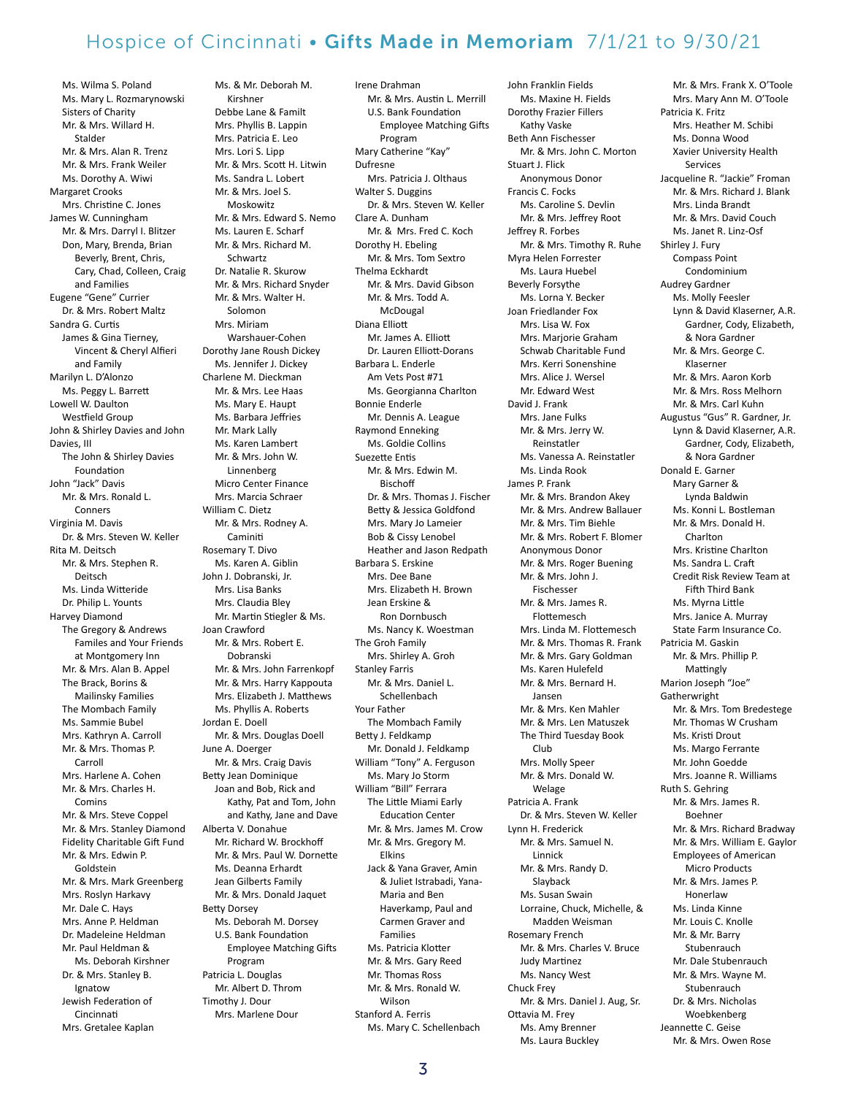Ms. Wilma S. Poland Ms. Mary L. Rozmarynowski Sisters of Charity Mr. & Mrs. Willard H. Stalder Mr. & Mrs. Alan R. Trenz Mr. & Mrs. Frank Weiler Ms. Dorothy A. Wiwi Margaret Crooks Mrs. Christine C. Jones James W. Cunningham Mr. & Mrs. Darryl I. Blitzer Don, Mary, Brenda, Brian Beverly, Brent, Chris, Cary, Chad, Colleen, Craig and Families Eugene "Gene" Currier Dr. & Mrs. Robert Maltz Sandra G. Curtis James & Gina Tierney, Vincent & Cheryl Alfieri and Family Marilyn L. D'Alonzo Ms. Peggy L. Barrett Lowell W. Daulton Westfield Group John & Shirley Davies and John Davies, III The John & Shirley Davies Foundation John "Jack" Davis Mr. & Mrs. Ronald L. **Conners** Virginia M. Davis Dr. & Mrs. Steven W. Keller Rita M. Deitsch Mr. & Mrs. Stephen R. Deitsch Ms. Linda Witteride Dr. Philip L. Younts Harvey Diamond The Gregory & Andrews Familes and Your Friends at Montgomery Inn Mr. & Mrs. Alan B. Appel The Brack, Borins & Mailinsky Families The Mombach Family Ms. Sammie Bubel Mrs. Kathryn A. Carroll Mr. & Mrs. Thomas P. Carroll Mrs. Harlene A. Cohen Mr. & Mrs. Charles H. Comins Mr. & Mrs. Steve Coppel Mr. & Mrs. Stanley Diamond Fidelity Charitable Gift Fund Mr. & Mrs. Edwin P. Goldstein Mr. & Mrs. Mark Greenberg Mrs. Roslyn Harkavy Mr. Dale C. Hays Mrs. Anne P. Heldman Dr. Madeleine Heldman Mr. Paul Heldman & Ms. Deborah Kirshner Dr. & Mrs. Stanley B. Ignatow Jewish Federation of Cincinnati Mrs. Gretalee Kaplan

 Kirshner Debbe Lane & Familt Mrs. Phyllis B. Lappin Mrs. Patricia E. Leo Mrs. Lori S. Lipp Mr. & Mrs. Scott H. Litwin Ms. Sandra L. Lobert Mr. & Mrs. Joel S. Moskowitz Mr. & Mrs. Edward S. Nemo Ms. Lauren E. Scharf Mr. & Mrs. Richard M. Schwartz Dr. Natalie R. Skurow Mr. & Mrs. Richard Snyder Mr. & Mrs. Walter H. Solomon Mrs. Miriam Warshauer-Cohen Dorothy Jane Roush Dickey Ms. Jennifer J. Dickey Charlene M. Dieckman Mr. & Mrs. Lee Haas Ms. Mary E. Haupt Ms. Barbara Jeffries Mr. Mark Lally Ms. Karen Lambert Mr. & Mrs. John W. Linnenberg Micro Center Finance Mrs. Marcia Schraer William C. Dietz Mr. & Mrs. Rodney A. Caminiti Rosemary T. Divo Ms. Karen A. Giblin John J. Dobranski, Jr. Mrs. Lisa Banks Mrs. Claudia Bley Mr. Martin Stiegler & Ms. Joan Crawford Mr. & Mrs. Robert E. Dobranski Mr. & Mrs. John Farrenkopf Mr. & Mrs. Harry Kappouta Mrs. Elizabeth J. Matthews Ms. Phyllis A. Roberts Jordan E. Doell Mr. & Mrs. Douglas Doell June A. Doerger Mr. & Mrs. Craig Davis Betty Jean Dominique Joan and Bob, Rick and Kathy, Pat and Tom, John and Kathy, Jane and Dave Alberta V. Donahue Mr. Richard W. Brockhoff Mr. & Mrs. Paul W. Dornette Ms. Deanna Erhardt Jean Gilberts Family Mr. & Mrs. Donald Jaquet Betty Dorsey Ms. Deborah M. Dorsey U.S. Bank Foundation Employee Matching Gifts Program Patricia L. Douglas Mr. Albert D. Throm Timothy J. Dour Mrs. Marlene Dour

Ms. & Mr. Deborah M.

Irene Drahman Mr. & Mrs. Austin L. Merrill U.S. Bank Foundation Employee Matching Gifts Program Mary Catherine "Kay" Dufresne Mrs. Patricia J. Olthaus Walter S. Duggins Dr. & Mrs. Steven W. Keller Clare A. Dunham Mr. & Mrs. Fred C. Koch Dorothy H. Ebeling Mr. & Mrs. Tom Sextro Thelma Eckhardt Mr. & Mrs. David Gibson Mr. & Mrs. Todd A. McDougal Diana Elliott Mr. James A. Elliott Dr. Lauren Elliott-Dorans Barbara L. Enderle Am Vets Post #71 Ms. Georgianna Charlton Bonnie Enderle Mr. Dennis A. League Raymond Enneking Ms. Goldie Collins Suezette Entis Mr. & Mrs. Edwin M. **Bischoff** Dr. & Mrs. Thomas J. Fischer Betty & Jessica Goldfond Mrs. Mary Jo Lameier Bob & Cissy Lenobel Heather and Jason Redpath Barbara S. Erskine Mrs. Dee Bane Mrs. Elizabeth H. Brown Jean Erskine & Ron Dornbusch Ms. Nancy K. Woestman The Groh Family Mrs. Shirley A. Groh Stanley Farris Mr. & Mrs. Daniel L. Schellenbach Your Father The Mombach Family Betty J. Feldkamp Mr. Donald J. Feldkamp William "Tony" A. Ferguson Ms. Mary Jo Storm William "Bill" Ferrara The Little Miami Early Education Center Mr. & Mrs. James M. Crow Mr. & Mrs. Gregory M. Elkins Jack & Yana Graver, Amin & Juliet Istrabadi, Yana- Maria and Ben Haverkamp, Paul and Carmen Graver and Families Ms. Patricia Klotter Mr. & Mrs. Gary Reed Mr. Thomas Ross Mr. & Mrs. Ronald W. Wilson Stanford A. Ferris

John Franklin Fields Ms. Maxine H. Fields Dorothy Frazier Fillers Kathy Vaske Beth Ann Fischesser Mr. & Mrs. John C. Morton Stuart J. Flick Anonymous Donor Francis C. Focks Ms. Caroline S. Devlin Mr. & Mrs. Jeffrey Root Jeffrey R. Forbes Mr. & Mrs. Timothy R. Ruhe Myra Helen Forrester Ms. Laura Huebel Beverly Forsythe Ms. Lorna Y. Becker Joan Friedlander Fox Mrs. Lisa W. Fox Mrs. Marjorie Graham Schwab Charitable Fund Mrs. Kerri Sonenshine Mrs. Alice J. Wersel Mr. Edward West David J. Frank Mrs. Jane Fulks Mr. & Mrs. Jerry W. Reinstatler Ms. Vanessa A. Reinstatler Ms. Linda Rook James P. Frank Mr. & Mrs. Brandon Akey Mr. & Mrs. Andrew Ballauer Mr. & Mrs. Tim Biehle Mr. & Mrs. Robert F. Blomer Anonymous Donor Mr. & Mrs. Roger Buening Mr. & Mrs. John J. Fischesser Mr. & Mrs. James R. Flottemesch Mrs. Linda M. Flottemesch Mr. & Mrs. Thomas R. Frank Mr. & Mrs. Gary Goldman Ms. Karen Hulefeld Mr. & Mrs. Bernard H. Jansen Mr. & Mrs. Ken Mahler Mr. & Mrs. Len Matuszek The Third Tuesday Book Club Mrs. Molly Speer Mr. & Mrs. Donald W. Welage Patricia A. Frank Dr. & Mrs. Steven W. Keller Lynn H. Frederick Mr. & Mrs. Samuel N. Linnick Mr. & Mrs. Randy D. Slayback Ms. Susan Swain Lorraine, Chuck, Michelle, & Madden Weisman Rosemary French Mr. & Mrs. Charles V. Bruce Judy Martinez Ms. Nancy West Chuck Frey Mr. & Mrs. Daniel J. Aug, Sr. Ottavia M. Frey Ms. Amy Brenner Ms. Laura Buckley

Mr. & Mrs. Frank X. O'Toole Mrs. Mary Ann M. O'Toole Patricia K. Fritz Mrs. Heather M. Schibi Ms. Donna Wood Xavier University Health Services Jacqueline R. "Jackie" Froman Mr. & Mrs. Richard J. Blank Mrs. Linda Brandt Mr. & Mrs. David Couch Ms. Janet R. Linz-Osf Shirley J. Fury Compass Point Condominium Audrey Gardner Ms. Molly Feesler Lynn & David Klaserner, A.R. Gardner, Cody, Elizabeth, & Nora Gardner Mr. & Mrs. George C. Klaserner Mr. & Mrs. Aaron Korb Mr. & Mrs. Ross Melhorn Mr. & Mrs. Carl Kuhn Augustus "Gus" R. Gardner, Jr. Lynn & David Klaserner, A.R. Gardner, Cody, Elizabeth, & Nora Gardner Donald E. Garner Mary Garner & Lynda Baldwin Ms. Konni L. Bostleman Mr. & Mrs. Donald H. Charlton Mrs. Kristine Charlton Ms. Sandra L. Craft Credit Risk Review Team at Fifth Third Bank Ms. Myrna Little Mrs. Janice A. Murray State Farm Insurance Co. Patricia M. Gaskin Mr. & Mrs. Phillip P. Mattingly Marion Joseph "Joe" Gatherwright Mr. & Mrs. Tom Bredestege Mr. Thomas W Crusham Ms. Kristi Drout Ms. Margo Ferrante Mr. John Goedde Mrs. Joanne R. Williams Ruth S. Gehring Mr. & Mrs. James R. Boehner Mr. & Mrs. Richard Bradway Mr. & Mrs. William E. Gaylor Employees of American Micro Products Mr. & Mrs. James P. Honerlaw Ms. Linda Kinne Mr. Louis C. Knolle Mr. & Mr. Barry Stubenrauch Mr. Dale Stubenrauch Mr. & Mrs. Wayne M. **Stubenrauch** Dr. & Mrs. Nicholas Woebkenberg Jeannette C. Geise Mr. & Mrs. Owen Rose

Ms. Mary C. Schellenbach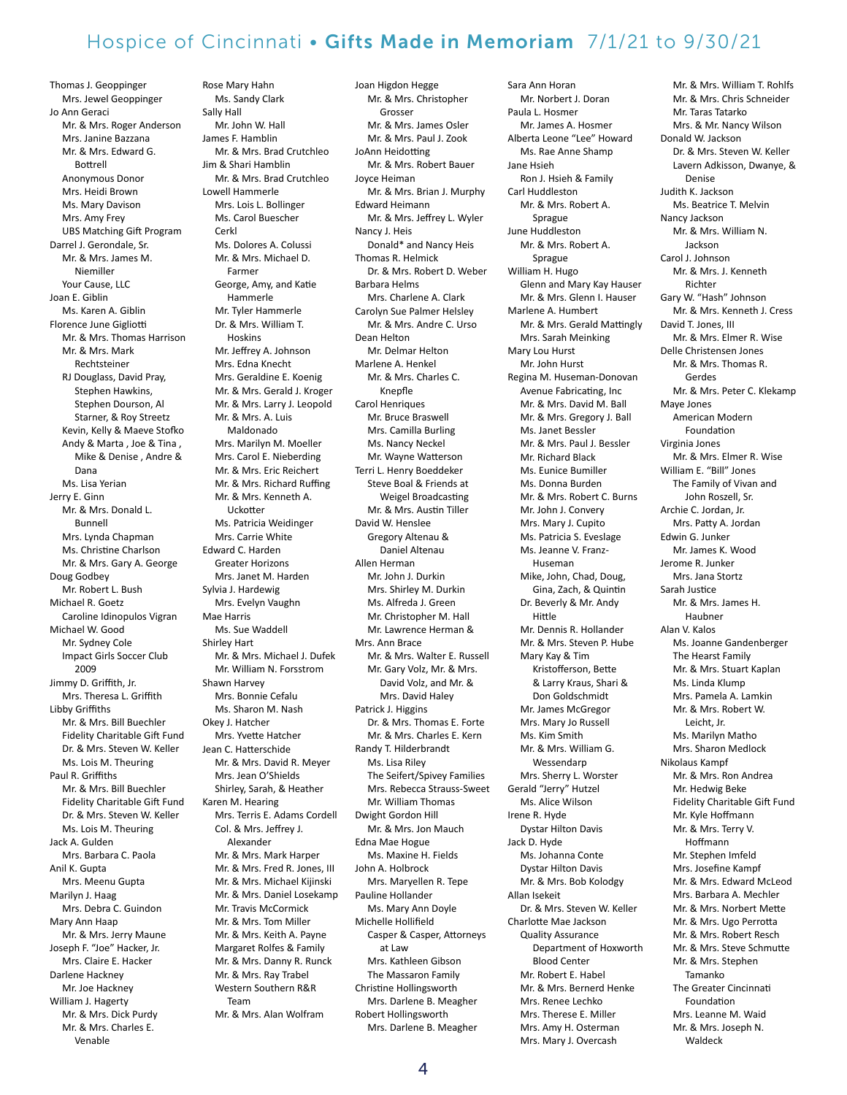Thomas J. Geoppinger Mrs. Jewel Geoppinger Jo Ann Geraci Mr. & Mrs. Roger Anderson Mrs. Janine Bazzana Mr. & Mrs. Edward G. Bottrell Anonymous Donor Mrs. Heidi Brown Ms. Mary Davison Mrs. Amy Frey UBS Matching Gift Program Darrel J. Gerondale, Sr. Mr. & Mrs. James M. Niemiller Your Cause, LLC Joan E. Giblin Ms. Karen A. Giblin Florence June Gigliotti Mr. & Mrs. Thomas Harrison Mr. & Mrs. Mark Rechtsteiner RJ Douglass, David Pray, Stephen Hawkins, Stephen Dourson, Al Starner, & Roy Streetz Kevin, Kelly & Maeve Stofko Andy & Marta , Joe & Tina , Mike & Denise , Andre & Dana Ms. Lisa Yerian Jerry E. Ginn Mr. & Mrs. Donald L. Bunnell Mrs. Lynda Chapman Ms. Christine Charlson Mr. & Mrs. Gary A. George Doug Godbey Mr. Robert L. Bush Michael R. Goetz Caroline Idinopulos Vigran Michael W. Good Mr. Sydney Cole Impact Girls Soccer Club 2009 Jimmy D. Griffith, Jr. Mrs. Theresa L. Griffith Libby Griffiths Mr. & Mrs. Bill Buechler Fidelity Charitable Gift Fund Dr. & Mrs. Steven W. Keller Ms. Lois M. Theuring Paul R. Griffiths Mr. & Mrs. Bill Buechler Fidelity Charitable Gift Fund Dr. & Mrs. Steven W. Keller Ms. Lois M. Theuring Jack A. Gulden Mrs. Barbara C. Paola Anil K. Gupta Mrs. Meenu Gupta Marilyn J. Haag Mrs. Debra C. Guindon Mary Ann Haap Mr. & Mrs. Jerry Maune Joseph F. "Joe" Hacker, Jr. Mrs. Claire E. Hacker Darlene Hackney Mr. Joe Hackney William J. Hagerty Mr. & Mrs. Dick Purdy Mr. & Mrs. Charles E.

Venable

Ms. Sandy Clark Sally Hall Mr. John W. Hall James F. Hamblin Mr. & Mrs. Brad Crutchleo Jim & Shari Hamblin Mr. & Mrs. Brad Crutchleo Lowell Hammerle Mrs. Lois L. Bollinger Ms. Carol Buescher Cerkl Ms. Dolores A. Colussi Mr. & Mrs. Michael D. Farmer George, Amy, and Katie Hammerle Mr. Tyler Hammerle Dr. & Mrs. William T. Hoskins Mr. Jeffrey A. Johnson Mrs. Edna Knecht Mrs. Geraldine E. Koenig Mr. & Mrs. Gerald J. Kroger Mr. & Mrs. Larry J. Leopold Mr. & Mrs. A. Luis Maldonado Mrs. Marilyn M. Moeller Mrs. Carol E. Nieberding Mr. & Mrs. Eric Reichert Mr. & Mrs. Richard Ruffing Mr. & Mrs. Kenneth A. Uckotter Ms. Patricia Weidinger Mrs. Carrie White Edward C. Harden Greater Horizons Mrs. Janet M. Harden Sylvia J. Hardewig Mrs. Evelyn Vaughn Mae Harris Ms. Sue Waddell Shirley Hart Mr. & Mrs. Michael J. Dufek Mr. William N. Forsstrom Shawn Harvey Mrs. Bonnie Cefalu Ms. Sharon M. Nash Okey J. Hatcher Mrs. Yvette Hatcher Jean C. Hatterschide Mr. & Mrs. David R. Meyer Mrs. Jean O'Shields Shirley, Sarah, & Heather Karen M. Hearing Mrs. Terris E. Adams Cordell Col. & Mrs. Jeffrey J. Alexander Mr. & Mrs. Mark Harper Mr. & Mrs. Fred R. Jones, III Mr. & Mrs. Michael Kijinski Mr. & Mrs. Daniel Losekamp Mr. Travis McCormick Mr. & Mrs. Tom Miller Mr. & Mrs. Keith A. Payne Margaret Rolfes & Family Mr. & Mrs. Danny R. Runck Mr. & Mrs. Ray Trabel Western Southern R&R Team Mr. & Mrs. Alan Wolfram

Rose Mary Hahn

Joan Higdon Hegge Mr. & Mrs. Christopher Grosser Mr. & Mrs. James Osler Mr. & Mrs. Paul J. Zook JoAnn Heidotting Mr. & Mrs. Robert Bauer Joyce Heiman Mr. & Mrs. Brian J. Murphy Edward Heimann Mr. & Mrs. Jeffrey L. Wyler Nancy J. Heis Donald\* and Nancy Heis Thomas R. Helmick Dr. & Mrs. Robert D. Weber Barbara Helms Mrs. Charlene A. Clark Carolyn Sue Palmer Helsley Mr. & Mrs. Andre C. Urso Dean Helton Mr. Delmar Helton Marlene A. Henkel Mr. & Mrs. Charles C. Knepfle Carol Henriques Mr. Bruce Braswell Mrs. Camilla Burling Ms. Nancy Neckel Mr. Wayne Watterson Terri L. Henry Boeddeker Steve Boal & Friends at Weigel Broadcasting Mr. & Mrs. Austin Tiller David W. Henslee Gregory Altenau & Daniel Altenau Allen Herman Mr. John J. Durkin Mrs. Shirley M. Durkin Ms. Alfreda J. Green Mr. Christopher M. Hall Mr. Lawrence Herman & Mrs. Ann Brace Mr. & Mrs. Walter E. Russell Mr. Gary Volz, Mr. & Mrs. David Volz, and Mr. & Mrs. David Haley Patrick J. Higgins Dr. & Mrs. Thomas E. Forte Mr. & Mrs. Charles E. Kern Randy T. Hilderbrandt Ms. Lisa Riley The Seifert/Spivey Families Mrs. Rebecca Strauss-Sweet Mr. William Thomas Dwight Gordon Hill Mr. & Mrs. Jon Mauch Edna Mae Hogue Ms. Maxine H. Fields John A. Holbrock Mrs. Maryellen R. Tepe Pauline Hollander Ms. Mary Ann Doyle Michelle Hollifield Casper & Casper, Attorneys at Law Mrs. Kathleen Gibson The Massaron Family Christine Hollingsworth Mrs. Darlene B. Meagher Robert Hollingsworth Mrs. Darlene B. Meagher

Sara Ann Horan Mr. Norbert J. Doran Paula L. Hosmer Mr. James A. Hosmer Alberta Leone "Lee" Howard Ms. Rae Anne Shamp Jane Hsieh Ron J. Hsieh & Family Carl Huddleston Mr. & Mrs. Robert A. Sprague June Huddleston Mr. & Mrs. Robert A. Sprague William H. Hugo Glenn and Mary Kay Hauser Mr. & Mrs. Glenn I. Hauser Marlene A. Humbert Mr. & Mrs. Gerald Mattingly Mrs. Sarah Meinking Mary Lou Hurst Mr. John Hurst Regina M. Huseman-Donovan Avenue Fabricating, Inc Mr. & Mrs. David M. Ball Mr. & Mrs. Gregory J. Ball Ms. Janet Bessler Mr. & Mrs. Paul J. Bessler Mr. Richard Black Ms. Eunice Bumiller Ms. Donna Burden Mr. & Mrs. Robert C. Burns Mr. John J. Convery Mrs. Mary J. Cupito Ms. Patricia S. Eveslage Ms. Jeanne V. Franz- Huseman Mike, John, Chad, Doug, Gina, Zach, & Quintin Dr. Beverly & Mr. Andy Hittle Mr. Dennis R. Hollander Mr. & Mrs. Steven P. Hube Mary Kay & Tim Kristofferson, Bette & Larry Kraus, Shari & Don Goldschmidt Mr. James McGregor Mrs. Mary Jo Russell Ms. Kim Smith Mr. & Mrs. William G. Wessendarp Mrs. Sherry L. Worster Gerald "Jerry" Hutzel Ms. Alice Wilson Irene R. Hyde Dystar Hilton Davis Jack D. Hyde Ms. Johanna Conte Dystar Hilton Davis Mr. & Mrs. Bob Kolodgy Allan Isekeit Dr. & Mrs. Steven W. Keller Charlotte Mae Jackson Quality Assurance Department of Hoxworth Blood Center Mr. Robert E. Habel Mr. & Mrs. Bernerd Henke Mrs. Renee Lechko Mrs. Therese E. Miller Mrs. Amy H. Osterman

Mrs. Mary J. Overcash

Mr. & Mrs. William T. Rohlfs Mr. & Mrs. Chris Schneider Mr. Taras Tatarko Mrs. & Mr. Nancy Wilson Donald W. Jackson Dr. & Mrs. Steven W. Keller Lavern Adkisson, Dwanye, & Denise Judith K. Jackson Ms. Beatrice T. Melvin Nancy Jackson Mr. & Mrs. William N. Jackson Carol J. Johnson Mr. & Mrs. J. Kenneth Richter Gary W. "Hash" Johnson Mr. & Mrs. Kenneth J. Cress David T. Jones, III Mr. & Mrs. Elmer R. Wise Delle Christensen Jones Mr. & Mrs. Thomas R. Gerdes Mr. & Mrs. Peter C. Klekamp Maye Jones American Modern Foundation Virginia Jones Mr. & Mrs. Elmer R. Wise William E. "Bill" Jones The Family of Vivan and John Roszell, Sr. Archie C. Jordan, Jr. Mrs. Patty A. Jordan Edwin G. Junker Mr. James K. Wood Jerome R. Junker Mrs. Jana Stortz Sarah Justice Mr. & Mrs. James H. Haubner Alan V. Kalos Ms. Joanne Gandenberger The Hearst Family Mr. & Mrs. Stuart Kaplan Ms. Linda Klump Mrs. Pamela A. Lamkin Mr. & Mrs. Robert W. Leicht, Jr. Ms. Marilyn Matho Mrs. Sharon Medlock Nikolaus Kampf Mr. & Mrs. Ron Andrea Mr. Hedwig Beke Fidelity Charitable Gift Fund Mr. Kyle Hoffmann Mr. & Mrs. Terry V. Hoffmann Mr. Stephen Imfeld Mrs. Josefine Kampf Mr. & Mrs. Edward McLeod Mrs. Barbara A. Mechler Mr. & Mrs. Norbert Mette Mr. & Mrs. Ugo Perrotta Mr. & Mrs. Robert Resch Mr. & Mrs. Steve Schmutte Mr. & Mrs. Stephen Tamanko The Greater Cincinnati Foundation Mrs. Leanne M. Waid Mr. & Mrs. Joseph N. Waldeck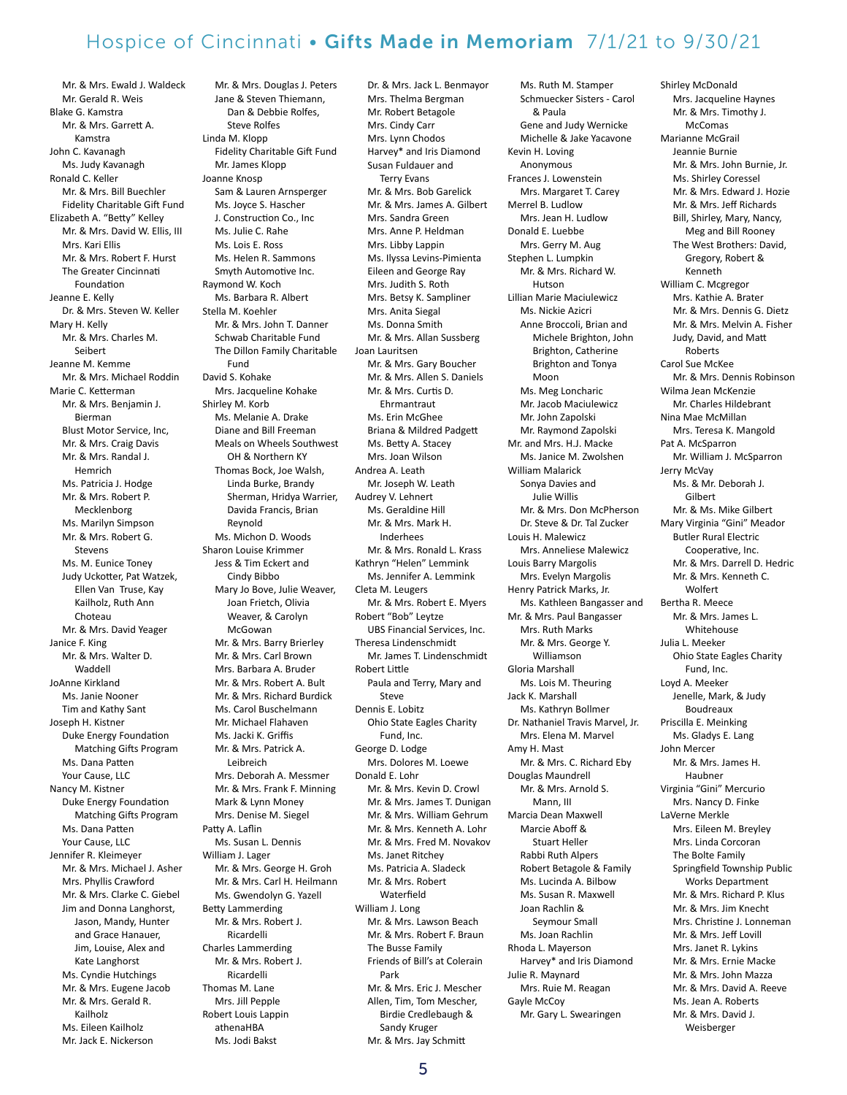Mr. & Mrs. Ewald J. Waldeck Mr. Gerald R. Weis Blake G. Kamstra Mr. & Mrs. Garrett A. Kamstra John C. Kavanagh Ms. Judy Kavanagh Ronald C. Keller Mr. & Mrs. Bill Buechler Fidelity Charitable Gift Fund Elizabeth A. "Betty" Kelley Mr. & Mrs. David W. Ellis, III Mrs. Kari Ellis Mr. & Mrs. Robert F. Hurst The Greater Cincinnati Foundation Jeanne E. Kelly Dr. & Mrs. Steven W. Keller Mary H. Kelly Mr. & Mrs. Charles M. Seibert Jeanne M. Kemme Mr. & Mrs. Michael Roddin Marie C. Ketterman Mr. & Mrs. Benjamin J. Bierman Blust Motor Service, Inc, Mr. & Mrs. Craig Davis Mr. & Mrs. Randal J. Hemrich Ms. Patricia J. Hodge Mr. & Mrs. Robert P. Mecklenborg Ms. Marilyn Simpson Mr. & Mrs. Robert G. Stevens Ms. M. Eunice Toney Judy Uckotter, Pat Watzek, Ellen Van Truse, Kay Kailholz, Ruth Ann Choteau Mr. & Mrs. David Yeager Janice F. King Mr. & Mrs. Walter D. Waddell JoAnne Kirkland Ms. Janie Nooner Tim and Kathy Sant Joseph H. Kistner Duke Energy Foundation Matching Gifts Program Ms. Dana Patten Your Cause, LLC Nancy M. Kistner Duke Energy Foundation Matching Gifts Program Ms. Dana Patten Your Cause, LLC Jennifer R. Kleimeyer Mr. & Mrs. Michael J. Asher Mrs. Phyllis Crawford Mr. & Mrs. Clarke C. Giebel Jim and Donna Langhorst, Jason, Mandy, Hunter and Grace Hanauer, Jim, Louise, Alex and Kate Langhorst Ms. Cyndie Hutchings Mr. & Mrs. Eugene Jacob Mr. & Mrs. Gerald R. Kailholz Ms. Eileen Kailholz Mr. Jack E. Nickerson

Mr. & Mrs. Douglas J. Peters Jane & Steven Thiemann, Dan & Debbie Rolfes, Steve Rolfes Linda M. Klopp Fidelity Charitable Gift Fund Mr. James Klopp Joanne Knosp Sam & Lauren Arnsperger Ms. Joyce S. Hascher J. Construction Co., Inc Ms. Julie C. Rahe Ms. Lois E. Ross Ms. Helen R. Sammons Smyth Automotive Inc. Raymond W. Koch Ms. Barbara R. Albert Stella M. Koehler Mr. & Mrs. John T. Danner Schwab Charitable Fund The Dillon Family Charitable Fund David S. Kohake Mrs. Jacqueline Kohake Shirley M. Korb Ms. Melanie A. Drake Diane and Bill Freeman Meals on Wheels Southwest OH & Northern KY Thomas Bock, Joe Walsh, Linda Burke, Brandy Sherman, Hridya Warrier, Davida Francis, Brian Reynold Ms. Michon D. Woods Sharon Louise Krimmer Jess & Tim Eckert and Cindy Bibbo Mary Jo Bove, Julie Weaver, Joan Frietch, Olivia Weaver, & Carolyn McGowan Mr. & Mrs. Barry Brierley Mr. & Mrs. Carl Brown Mrs. Barbara A. Bruder Mr. & Mrs. Robert A. Bult Mr. & Mrs. Richard Burdick Ms. Carol Buschelmann Mr. Michael Flahaven Ms. Jacki K. Griffis Mr. & Mrs. Patrick A. Leibreich Mrs. Deborah A. Messmer Mr. & Mrs. Frank F. Minning Mark & Lynn Money Mrs. Denise M. Siegel Patty A. Laflin Ms. Susan L. Dennis William J. Lager Mr. & Mrs. George H. Groh Mr. & Mrs. Carl H. Heilmann Ms. Gwendolyn G. Yazell Betty Lammerding Mr. & Mrs. Robert J. Ricardelli Charles Lammerding Mr. & Mrs. Robert J. Ricardelli Thomas M. Lane Mrs. Jill Pepple Robert Louis Lappin athenaHBA Ms. Jodi Bakst

Dr. & Mrs. Jack L. Benmayor Mrs. Thelma Bergman Mr. Robert Betagole Mrs. Cindy Carr Mrs. Lynn Chodos Harvey\* and Iris Diamond Susan Fuldauer and Terry Evans Mr. & Mrs. Bob Garelick Mr. & Mrs. James A. Gilbert Mrs. Sandra Green Mrs. Anne P. Heldman Mrs. Libby Lappin Ms. Ilyssa Levins-Pimienta Eileen and George Ray Mrs. Judith S. Roth Mrs. Betsy K. Sampliner Mrs. Anita Siegal Ms. Donna Smith Mr. & Mrs. Allan Sussberg Joan Lauritsen Mr. & Mrs. Gary Boucher Mr. & Mrs. Allen S. Daniels Mr. & Mrs. Curtis D. Ehrmantraut Ms. Erin McGhee Briana & Mildred Padgett Ms. Betty A. Stacey Mrs. Joan Wilson Andrea A. Leath Mr. Joseph W. Leath Audrey V. Lehnert Ms. Geraldine Hill Mr. & Mrs. Mark H. Inderhees Mr. & Mrs. Ronald L. Krass Kathryn "Helen" Lemmink Ms. Jennifer A. Lemmink Cleta M. Leugers Mr. & Mrs. Robert E. Myers Robert "Bob" Leytze UBS Financial Services, Inc. Theresa Lindenschmidt Mr. James T. Lindenschmidt Robert Little Paula and Terry, Mary and Steve Dennis E. Lobitz Ohio State Eagles Charity Fund, Inc. George D. Lodge Mrs. Dolores M. Loewe Donald E. Lohr Mr. & Mrs. Kevin D. Crowl Mr. & Mrs. James T. Dunigan Mr. & Mrs. William Gehrum Mr. & Mrs. Kenneth A. Lohr Mr. & Mrs. Fred M. Novakov Ms. Janet Ritchey Ms. Patricia A. Sladeck Mr. & Mrs. Robert Waterfield William J. Long Mr. & Mrs. Lawson Beach Mr. & Mrs. Robert F. Braun The Busse Family Friends of Bill's at Colerain Park Mr. & Mrs. Eric J. Mescher Allen, Tim, Tom Mescher, Birdie Credlebaugh & Sandy Kruger Mr. & Mrs. Jay Schmitt

Ms. Ruth M. Stamper Schmuecker Sisters - Carol & Paula Gene and Judy Wernicke Michelle & Jake Yacavone Kevin H. Loving Anonymous Frances J. Lowenstein Mrs. Margaret T. Carey Merrel B. Ludlow Mrs. Jean H. Ludlow Donald E. Luebbe Mrs. Gerry M. Aug Stephen L. Lumpkin Mr. & Mrs. Richard W. Hutson Lillian Marie Maciulewicz Ms. Nickie Azicri Anne Broccoli, Brian and Michele Brighton, John Brighton, Catherine Brighton and Tonya Moon Ms. Meg Loncharic Mr. Jacob Maciulewicz Mr. John Zapolski Mr. Raymond Zapolski Mr. and Mrs. H.J. Macke Ms. Janice M. Zwolshen William Malarick Sonya Davies and Julie Willis Mr. & Mrs. Don McPherson Dr. Steve & Dr. Tal Zucker Louis H. Malewicz Mrs. Anneliese Malewicz Louis Barry Margolis Mrs. Evelyn Margolis Henry Patrick Marks, Jr. Ms. Kathleen Bangasser and Mr. & Mrs. Paul Bangasser Mrs. Ruth Marks Mr. & Mrs. George Y. Williamson Gloria Marshall Ms. Lois M. Theuring Jack K. Marshall Ms. Kathryn Bollmer Dr. Nathaniel Travis Marvel, Jr. Mrs. Elena M. Marvel Amy H. Mast Mr. & Mrs. C. Richard Eby Douglas Maundrell Mr. & Mrs. Arnold S. Mann, III Marcia Dean Maxwell Marcie Aboff & Stuart Heller Rabbi Ruth Alpers Robert Betagole & Family Ms. Lucinda A. Bilbow Ms. Susan R. Maxwell Joan Rachlin & Seymour Small Ms. Joan Rachlin Rhoda L. Mayerson Harvey\* and Iris Diamond Julie R. Maynard Mrs. Ruie M. Reagan Gayle McCoy Mr. Gary L. Swearingen

Mrs. Jacqueline Haynes Mr. & Mrs. Timothy J. McComas Marianne McGrail Jeannie Burnie Mr. & Mrs. John Burnie, Jr. Ms. Shirley Coressel Mr. & Mrs. Edward J. Hozie Mr. & Mrs. Jeff Richards Bill, Shirley, Mary, Nancy, Meg and Bill Rooney The West Brothers: David, Gregory, Robert & Kenneth William C. Mcgregor Mrs. Kathie A. Brater Mr. & Mrs. Dennis G. Dietz Mr. & Mrs. Melvin A. Fisher Judy, David, and Matt Roberts Carol Sue McKee Mr. & Mrs. Dennis Robinson Wilma Jean McKenzie Mr. Charles Hildebrant Nina Mae McMillan Mrs. Teresa K. Mangold Pat A. McSparron Mr. William J. McSparron Jerry McVay Ms. & Mr. Deborah J. Gilbert Mr. & Ms. Mike Gilbert Mary Virginia "Gini" Meador Butler Rural Electric Cooperative, Inc. Mr. & Mrs. Darrell D. Hedric Mr. & Mrs. Kenneth C. Wolfert Bertha R. Meece Mr. & Mrs. James L. Whitehouse Julia L. Meeker Ohio State Eagles Charity Fund, Inc. Loyd A. Meeker Jenelle, Mark, & Judy Boudreaux Priscilla E. Meinking Ms. Gladys E. Lang John Mercer Mr. & Mrs. James H. Haubner Virginia "Gini" Mercurio Mrs. Nancy D. Finke LaVerne Merkle Mrs. Eileen M. Breyley Mrs. Linda Corcoran The Bolte Family Springfield Township Public Works Department Mr. & Mrs. Richard P. Klus Mr. & Mrs. Jim Knecht Mrs. Christine J. Lonneman Mr. & Mrs. Jeff Lovill Mrs. Janet R. Lykins Mr. & Mrs. Ernie Macke Mr. & Mrs. John Mazza Mr. & Mrs. David A. Reeve Ms. Jean A. Roberts Mr. & Mrs. David J.

Weisberger

Shirley McDonald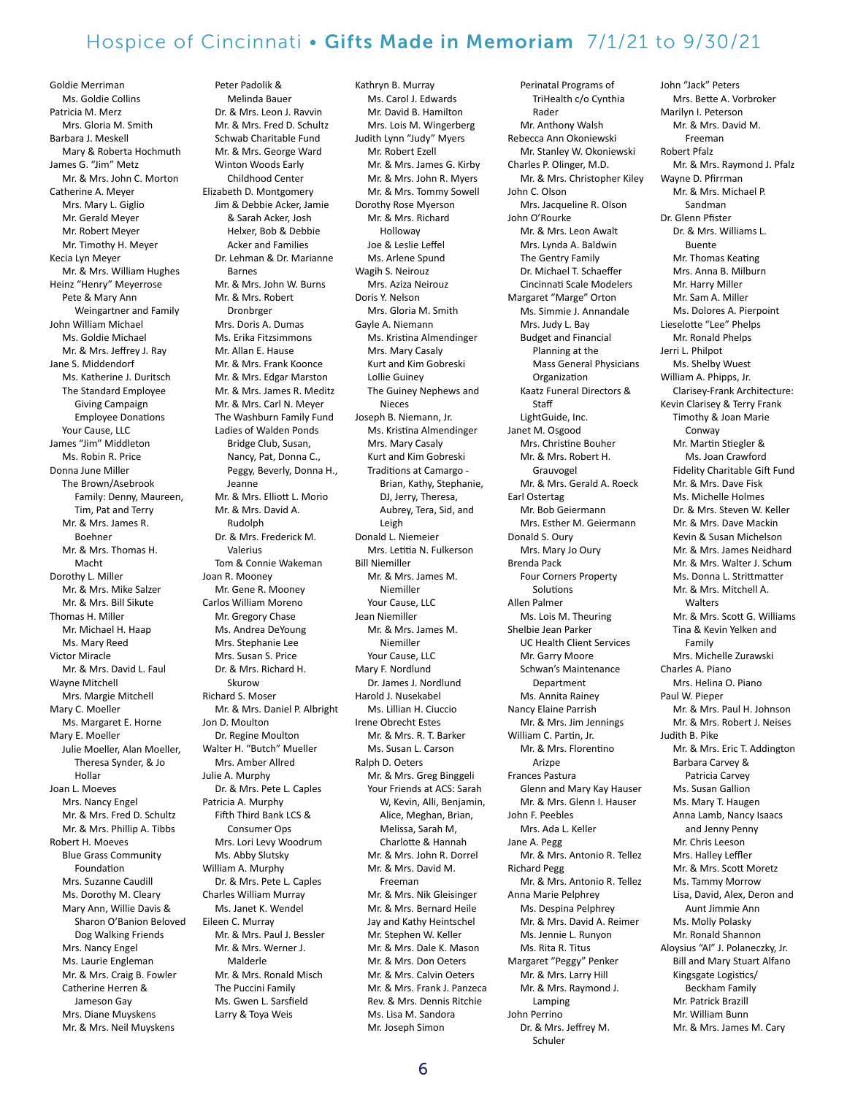Goldie Merriman Ms. Goldie Collins Patricia M. Merz Mrs. Gloria M. Smith Barbara J. Meskell Mary & Roberta Hochmuth James G. "Jim" Metz Mr. & Mrs. John C. Morton Catherine A. Meyer Mrs. Mary L. Giglio Mr. Gerald Meyer Mr. Robert Meyer Mr. Timothy H. Meyer Kecia Lyn Meyer Mr. & Mrs. William Hughes Heinz "Henry" Meyerrose Pete & Mary Ann Weingartner and Family John William Michael Ms. Goldie Michael Mr. & Mrs. Jeffrey J. Ray Jane S. Middendorf Ms. Katherine J. Duritsch The Standard Employee Giving Campaign Employee Donations Your Cause, LLC James "Jim" Middleton Ms. Robin R. Price Donna June Miller The Brown/Asebrook Family: Denny, Maureen, Tim, Pat and Terry Mr. & Mrs. James R. Boehner Mr. & Mrs. Thomas H. Macht Dorothy L. Miller Mr. & Mrs. Mike Salzer Mr. & Mrs. Bill Sikute Thomas H. Miller Mr. Michael H. Haap Ms. Mary Reed Victor Miracle Mr. & Mrs. David L. Faul Wayne Mitchell Mrs. Margie Mitchell Mary C. Moeller Ms. Margaret E. Horne Mary E. Moeller Julie Moeller, Alan Moeller, Theresa Synder, & Jo Hollar Joan L. Moeves Mrs. Nancy Engel Mr. & Mrs. Fred D. Schultz Mr. & Mrs. Phillip A. Tibbs Robert H. Moeves Blue Grass Community Foundation Mrs. Suzanne Caudill Ms. Dorothy M. Cleary Mary Ann, Willie Davis & Sharon O'Banion Beloved Dog Walking Friends Mrs. Nancy Engel Ms. Laurie Engleman Mr. & Mrs. Craig B. Fowler Catherine Herren & Jameson Gay Mrs. Diane Muyskens Mr. & Mrs. Neil Muyskens

 Melinda Bauer Dr. & Mrs. Leon J. Ravvin Mr. & Mrs. Fred D. Schultz Schwab Charitable Fund Mr. & Mrs. George Ward Winton Woods Early Childhood Center Elizabeth D. Montgomery Jim & Debbie Acker, Jamie & Sarah Acker, Josh Helxer, Bob & Debbie Acker and Families Dr. Lehman & Dr. Marianne Barnes Mr. & Mrs. John W. Burns Mr. & Mrs. Robert Dronbrger Mrs. Doris A. Dumas Ms. Erika Fitzsimmons Mr. Allan E. Hause Mr. & Mrs. Frank Koonce Mr. & Mrs. Edgar Marston Mr. & Mrs. James R. Meditz Mr. & Mrs. Carl N. Meyer The Washburn Family Fund Ladies of Walden Ponds Bridge Club, Susan, Nancy, Pat, Donna C., Peggy, Beverly, Donna H., Jeanne Mr. & Mrs. Elliott L. Morio Mr. & Mrs. David A. Rudolph Dr. & Mrs. Frederick M. Valerius Tom & Connie Wakeman Joan R. Mooney Mr. Gene R. Mooney Carlos William Moreno Mr. Gregory Chase Ms. Andrea DeYoung Mrs. Stephanie Lee Mrs. Susan S. Price Dr. & Mrs. Richard H. Skurow Richard S. Moser Mr. & Mrs. Daniel P. Albright Jon D. Moulton Dr. Regine Moulton Walter H. "Butch" Mueller Mrs. Amber Allred Julie A. Murphy Dr. & Mrs. Pete L. Caples Patricia A. Murphy Fifth Third Bank LCS & Consumer Ops Mrs. Lori Levy Woodrum Ms. Abby Slutsky William A. Murphy Dr. & Mrs. Pete L. Caples Charles William Murray Ms. Janet K. Wendel Eileen C. Murray Mr. & Mrs. Paul J. Bessler Mr. & Mrs. Werner J. Malderle Mr. & Mrs. Ronald Misch The Puccini Family Ms. Gwen L. Sarsfield Larry & Toya Weis

Peter Padolik &

Kathryn B. Murray Ms. Carol J. Edwards Mr. David B. Hamilton Mrs. Lois M. Wingerberg Judith Lynn "Judy" Myers Mr. Robert Ezell Mr. & Mrs. James G. Kirby Mr. & Mrs. John R. Myers Mr. & Mrs. Tommy Sowell Dorothy Rose Myerson Mr. & Mrs. Richard Holloway Joe & Leslie Leffel Ms. Arlene Spund Wagih S. Neirouz Mrs. Aziza Neirouz Doris Y. Nelson Mrs. Gloria M. Smith Gayle A. Niemann Ms. Kristina Almendinger Mrs. Mary Casaly Kurt and Kim Gobreski Lollie Guiney The Guiney Nephews and Nieces Joseph B. Niemann, Jr. Ms. Kristina Almendinger Mrs. Mary Casaly Kurt and Kim Gobreski Traditions at Camargo - Brian, Kathy, Stephanie, DJ, Jerry, Theresa, Aubrey, Tera, Sid, and Leigh Donald L. Niemeier Mrs. Letitia N. Fulkerson Bill Niemiller Mr. & Mrs. James M. Niemiller Your Cause, LLC Jean Niemiller Mr. & Mrs. James M. Niemiller Your Cause, LLC Mary F. Nordlund Dr. James J. Nordlund Harold J. Nusekabel Ms. Lillian H. Ciuccio Irene Obrecht Estes Mr. & Mrs. R. T. Barker Ms. Susan L. Carson Ralph D. Oeters Mr. & Mrs. Greg Binggeli Your Friends at ACS: Sarah W, Kevin, Alli, Benjamin, Alice, Meghan, Brian, Melissa, Sarah M, Charlotte & Hannah Mr. & Mrs. John R. Dorrel Mr. & Mrs. David M. Freeman Mr. & Mrs. Nik Gleisinger Mr. & Mrs. Bernard Heile Jay and Kathy Heintschel Mr. Stephen W. Keller Mr. & Mrs. Dale K. Mason Mr. & Mrs. Don Oeters Mr. & Mrs. Calvin Oeters Mr. & Mrs. Frank J. Panzeca Rev. & Mrs. Dennis Ritchie Ms. Lisa M. Sandora Mr. Joseph Simon

Perinatal Programs of TriHealth c/o Cynthia Rader Mr. Anthony Walsh Rebecca Ann Okoniewski Mr. Stanley W. Okoniewski Charles P. Olinger, M.D. Mr. & Mrs. Christopher Kiley John C. Olson Mrs. Jacqueline R. Olson John O'Rourke Mr. & Mrs. Leon Awalt Mrs. Lynda A. Baldwin The Gentry Family Dr. Michael T. Schaeffer Cincinnati Scale Modelers Margaret "Marge" Orton Ms. Simmie J. Annandale Mrs. Judy L. Bay Budget and Financial Planning at the Mass General Physicians Organization Kaatz Funeral Directors & Staff LightGuide, Inc. Janet M. Osgood Mrs. Christine Bouher Mr. & Mrs. Robert H. Grauvogel Mr. & Mrs. Gerald A. Roeck Earl Ostertag Mr. Bob Geiermann Mrs. Esther M. Geiermann Donald S. Oury Mrs. Mary Jo Oury Brenda Pack Four Corners Property Solutions Allen Palmer Ms. Lois M. Theuring Shelbie Jean Parker UC Health Client Services Mr. Garry Moore Schwan's Maintenance Department Ms. Annita Rainey Nancy Elaine Parrish Mr. & Mrs. Jim Jennings William C. Partin, Jr. Mr. & Mrs. Florentino Arizpe Frances Pastura Glenn and Mary Kay Hauser Mr. & Mrs. Glenn I. Hauser John F. Peebles Mrs. Ada L. Keller Jane A. Pegg Mr. & Mrs. Antonio R. Tellez Richard Pegg Mr. & Mrs. Antonio R. Tellez Anna Marie Pelphrey Ms. Despina Pelphrey Mr. & Mrs. David A. Reimer Ms. Jennie L. Runyon Ms. Rita R. Titus Margaret "Peggy" Penker Mr. & Mrs. Larry Hill Mr. & Mrs. Raymond J. Lamping John Perrino Dr. & Mrs. Jeffrey M. Schuler

John "Jack" Peters Mrs. Bette A. Vorbroker Marilyn I. Peterson Mr. & Mrs. David M. Freeman Robert Pfalz Mr. & Mrs. Raymond J. Pfalz Wayne D. Pfirrman Mr. & Mrs. Michael P. Sandman Dr. Glenn Pfister Dr. & Mrs. Williams L. Buente Mr. Thomas Keating Mrs. Anna B. Milburn Mr. Harry Miller Mr. Sam A. Miller Ms. Dolores A. Pierpoint Lieselotte "Lee" Phelps Mr. Ronald Phelps Jerri L. Philpot Ms. Shelby Wuest William A. Phipps, Jr. Clarisey-Frank Architecture: Kevin Clarisey & Terry Frank Timothy & Joan Marie Conway Mr. Martin Stiegler & Ms. Joan Crawford Fidelity Charitable Gift Fund Mr. & Mrs. Dave Fisk Ms. Michelle Holmes Dr. & Mrs. Steven W. Keller Mr. & Mrs. Dave Mackin Kevin & Susan Michelson Mr. & Mrs. James Neidhard Mr. & Mrs. Walter J. Schum Ms. Donna L. Strittmatter Mr. & Mrs. Mitchell A. **Walters** Mr. & Mrs. Scott G. Williams Tina & Kevin Yelken and Family Mrs. Michelle Zurawski Charles A. Piano Mrs. Helina O. Piano Paul W. Pieper Mr. & Mrs. Paul H. Johnson Mr. & Mrs. Robert J. Neises Judith B. Pike Mr. & Mrs. Eric T. Addington Barbara Carvey & Patricia Carvey Ms. Susan Gallion Ms. Mary T. Haugen Anna Lamb, Nancy Isaacs and Jenny Penny Mr. Chris Leeson Mrs. Halley Leffler Mr. & Mrs. Scott Moretz Ms. Tammy Morrow Lisa, David, Alex, Deron and Aunt Jimmie Ann Ms. Molly Polasky Mr. Ronald Shannon Aloysius "Al" J. Polaneczky, Jr. Bill and Mary Stuart Alfano Kingsgate Logistics/ Beckham Family Mr. Patrick Brazill Mr. William Bunn Mr. & Mrs. James M. Cary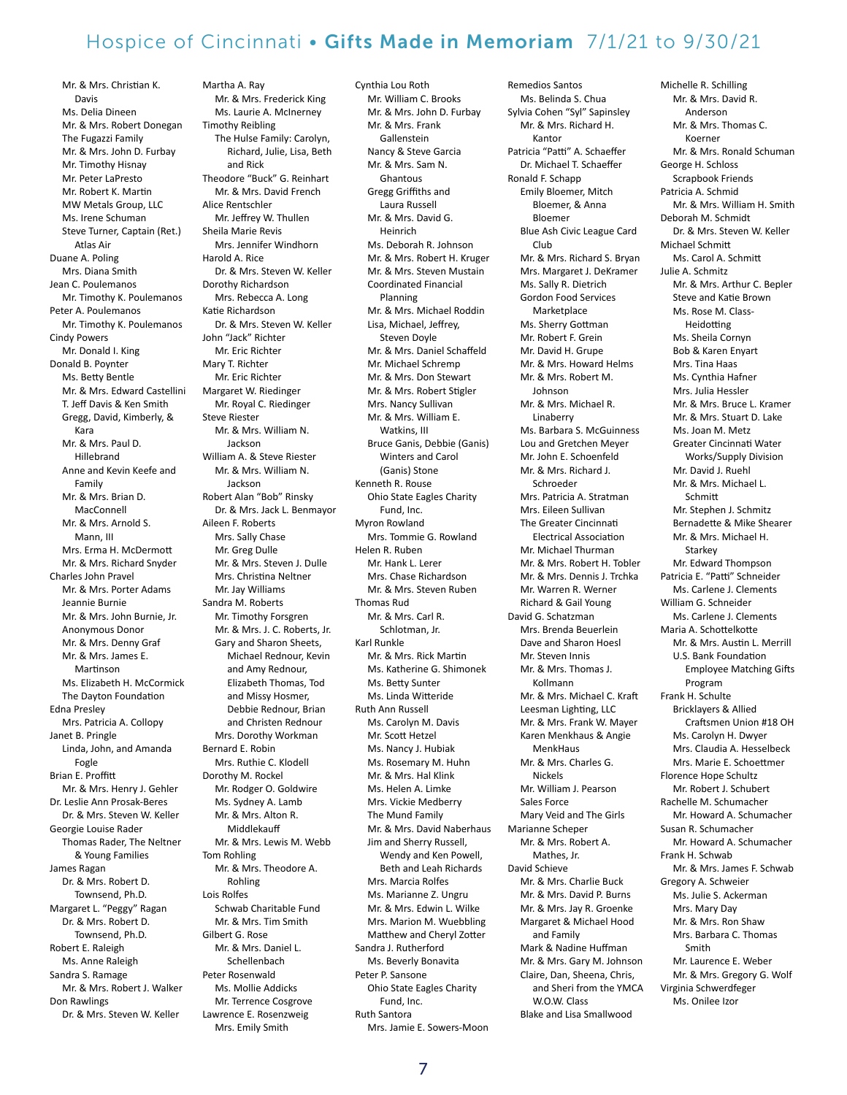Mr. & Mrs. Christian K. Davis Ms. Delia Dineen Mr. & Mrs. Robert Donegan The Fugazzi Family Mr. & Mrs. John D. Furbay Mr. Timothy Hisnay Mr. Peter LaPresto Mr. Robert K. Martin MW Metals Group, LLC Ms. Irene Schuman Steve Turner, Captain (Ret.) Atlas Air Duane A. Poling Mrs. Diana Smith Jean C. Poulemanos Mr. Timothy K. Poulemanos Peter A. Poulemanos Mr. Timothy K. Poulemanos Cindy Powers Mr. Donald I. King Donald B. Poynter Ms. Betty Bentle Mr. & Mrs. Edward Castellini T. Jeff Davis & Ken Smith Gregg, David, Kimberly, & Kara Mr. & Mrs. Paul D. Hillebrand Anne and Kevin Keefe and Family Mr. & Mrs. Brian D. MacConnell Mr. & Mrs. Arnold S. Mann, III Mrs. Erma H. McDermott Mr. & Mrs. Richard Snyder Charles John Pravel Mr. & Mrs. Porter Adams Jeannie Burnie Mr. & Mrs. John Burnie, Jr. Anonymous Donor Mr. & Mrs. Denny Graf Mr. & Mrs. James E. Martinson Ms. Elizabeth H. McCormick The Dayton Foundation Edna Presley Mrs. Patricia A. Collopy Janet B. Pringle Linda, John, and Amanda Fogle Brian E. Proffitt Mr. & Mrs. Henry J. Gehler Dr. Leslie Ann Prosak-Beres Dr. & Mrs. Steven W. Keller Georgie Louise Rader Thomas Rader, The Neltner & Young Families James Ragan Dr. & Mrs. Robert D. Townsend, Ph.D. Margaret L. "Peggy" Ragan Dr. & Mrs. Robert D. Townsend, Ph.D. Robert E. Raleigh Ms. Anne Raleigh Sandra S. Ramage Mr. & Mrs. Robert J. Walker Don Rawlings Dr. & Mrs. Steven W. Keller

Martha A. Ray Mr. & Mrs. Frederick King Ms. Laurie A. McInerney Timothy Reibling The Hulse Family: Carolyn, Richard, Julie, Lisa, Beth and Rick Theodore "Buck" G. Reinhart Mr. & Mrs. David French Alice Rentschler Mr. Jeffrey W. Thullen Sheila Marie Revis Mrs. Jennifer Windhorn Harold A. Rice Dr. & Mrs. Steven W. Keller Dorothy Richardson Mrs. Rebecca A. Long Katie Richardson Dr. & Mrs. Steven W. Keller John "Jack" Richter Mr. Eric Richter Mary T. Richter Mr. Eric Richter Margaret W. Riedinger Mr. Royal C. Riedinger Steve Riester Mr. & Mrs. William N. Jackson William A. & Steve Riester Mr. & Mrs. William N. Jackson Robert Alan "Bob" Rinsky Dr. & Mrs. Jack L. Benmayor Aileen F. Roberts Mrs. Sally Chase Mr. Greg Dulle Mr. & Mrs. Steven J. Dulle Mrs. Christina Neltner Mr. Jay Williams Sandra M. Roberts Mr. Timothy Forsgren Mr. & Mrs. J. C. Roberts, Jr. Gary and Sharon Sheets, Michael Rednour, Kevin and Amy Rednour, Elizabeth Thomas, Tod and Missy Hosmer, Debbie Rednour, Brian and Christen Rednour Mrs. Dorothy Workman Bernard E. Robin Mrs. Ruthie C. Klodell Dorothy M. Rockel Mr. Rodger O. Goldwire Ms. Sydney A. Lamb Mr. & Mrs. Alton R. Middlekauff Mr. & Mrs. Lewis M. Webb Tom Rohling Mr. & Mrs. Theodore A. Rohling Lois Rolfes Schwab Charitable Fund Mr. & Mrs. Tim Smith Gilbert G. Rose Mr. & Mrs. Daniel L. Schellenbach Peter Rosenwald Ms. Mollie Addicks Mr. Terrence Cosgrove Lawrence E. Rosenzweig

Mrs. Emily Smith

Cynthia Lou Roth Mr. William C. Brooks Mr. & Mrs. John D. Furbay Mr. & Mrs. Frank Gallenstein Nancy & Steve Garcia Mr. & Mrs. Sam N. Ghantous Gregg Griffiths and Laura Russell Mr. & Mrs. David G. Heinrich Ms. Deborah R. Johnson Mr. & Mrs. Robert H. Kruger Mr. & Mrs. Steven Mustain Coordinated Financial Planning Mr. & Mrs. Michael Roddin Lisa, Michael, Jeffrey, Steven Doyle Mr. & Mrs. Daniel Schaffeld Mr. Michael Schremp Mr. & Mrs. Don Stewart Mr. & Mrs. Robert Stigler Mrs. Nancy Sullivan Mr. & Mrs. William E. Watkins, III Bruce Ganis, Debbie (Ganis) Winters and Carol (Ganis) Stone Kenneth R. Rouse Ohio State Eagles Charity Fund, Inc. Myron Rowland Mrs. Tommie G. Rowland Helen R. Ruben Mr. Hank L. Lerer Mrs. Chase Richardson Mr. & Mrs. Steven Ruben Thomas Rud Mr. & Mrs. Carl R. Schlotman, Jr. Karl Runkle Mr. & Mrs. Rick Martin Ms. Katherine G. Shimonek Ms. Betty Sunter Ms. Linda Witteride Ruth Ann Russell Ms. Carolyn M. Davis Mr. Scott Hetzel Ms. Nancy J. Hubiak Ms. Rosemary M. Huhn Mr. & Mrs. Hal Klink Ms. Helen A. Limke Mrs. Vickie Medberry The Mund Family Mr. & Mrs. David Naberhaus Jim and Sherry Russell, Wendy and Ken Powell, Beth and Leah Richards Mrs. Marcia Rolfes Ms. Marianne Z. Ungru Mr. & Mrs. Edwin L. Wilke Mrs. Marion M. Wuebbling Matthew and Cheryl Zotter Sandra J. Rutherford Ms. Beverly Bonavita Peter P. Sansone Ohio State Eagles Charity Fund, Inc. Ruth Santora

Remedios Santos Ms. Belinda S. Chua Sylvia Cohen "Syl" Sapinsley Mr. & Mrs. Richard H. Kantor Patricia "Patti" A. Schaeffer Dr. Michael T. Schaeffer Ronald F. Schapp Emily Bloemer, Mitch Bloemer, & Anna Bloemer Blue Ash Civic League Card Club Mr. & Mrs. Richard S. Bryan Mrs. Margaret J. DeKramer Ms. Sally R. Dietrich Gordon Food Services Marketplace Ms. Sherry Gottman Mr. Robert F. Grein Mr. David H. Grupe Mr. & Mrs. Howard Helms Mr. & Mrs. Robert M. Johnson Mr. & Mrs. Michael R. Linaberry Ms. Barbara S. McGuinness Lou and Gretchen Meyer Mr. John E. Schoenfeld Mr. & Mrs. Richard J. Schroeder Mrs. Patricia A. Stratman Mrs. Eileen Sullivan The Greater Cincinnati Electrical Association Mr. Michael Thurman Mr. & Mrs. Robert H. Tobler Mr. & Mrs. Dennis J. Trchka Mr. Warren R. Werner Richard & Gail Young David G. Schatzman Mrs. Brenda Beuerlein Dave and Sharon Hoesl Mr. Steven Innis Mr. & Mrs. Thomas J. Kollmann Mr. & Mrs. Michael C. Kraft Leesman Lighting, LLC Mr. & Mrs. Frank W. Mayer Karen Menkhaus & Angie MenkHaus Mr. & Mrs. Charles G. Nickels Mr. William J. Pearson Sales Force Mary Veid and The Girls Marianne Scheper Mr. & Mrs. Robert A. Mathes, Jr. David Schieve Mr. & Mrs. Charlie Buck Mr. & Mrs. David P. Burns Mr. & Mrs. Jay R. Groenke Margaret & Michael Hood and Family Mark & Nadine Huffman Mr. & Mrs. Gary M. Johnson Claire, Dan, Sheena, Chris, and Sheri from the YMCA W.O.W. Class Blake and Lisa Smallwood

Mr. & Mrs. David R. Anderson Mr. & Mrs. Thomas C. Koerner Mr. & Mrs. Ronald Schuman George H. Schloss Scrapbook Friends Patricia A. Schmid Mr. & Mrs. William H. Smith Deborah M. Schmidt Dr. & Mrs. Steven W. Keller Michael Schmitt Ms. Carol A. Schmitt Julie A. Schmitz Mr. & Mrs. Arthur C. Bepler Steve and Katie Brown Ms. Rose M. Class-Heidotting Ms. Sheila Cornyn Bob & Karen Enyart Mrs. Tina Haas Ms. Cynthia Hafner Mrs. Julia Hessler Mr. & Mrs. Bruce L. Kramer Mr. & Mrs. Stuart D. Lake Ms. Joan M. Metz Greater Cincinnati Water Works/Supply Division Mr. David J. Ruehl Mr. & Mrs. Michael L. Schmitt Mr. Stephen J. Schmitz Bernadette & Mike Shearer Mr. & Mrs. Michael H. Starkey Mr. Edward Thompson Patricia E. "Patti" Schneider Ms. Carlene J. Clements William G. Schneider Ms. Carlene J. Clements Maria A. Schottelkotte Mr. & Mrs. Austin L. Merrill U.S. Bank Foundation Employee Matching Gifts Program Frank H. Schulte Bricklayers & Allied Craftsmen Union #18 OH Ms. Carolyn H. Dwyer Mrs. Claudia A. Hesselbeck Mrs. Marie E. Schoettmer Florence Hope Schultz Mr. Robert J. Schubert Rachelle M. Schumacher Mr. Howard A. Schumacher Susan R. Schumacher Mr. Howard A. Schumacher Frank H. Schwab Mr. & Mrs. James F. Schwab Gregory A. Schweier Ms. Julie S. Ackerman Mrs. Mary Day Mr. & Mrs. Ron Shaw Mrs. Barbara C. Thomas Smith Mr. Laurence E. Weber Mr. & Mrs. Gregory G. Wolf Virginia Schwerdfeger Ms. Onilee Izor

Michelle R. Schilling

Mrs. Jamie E. Sowers-Moon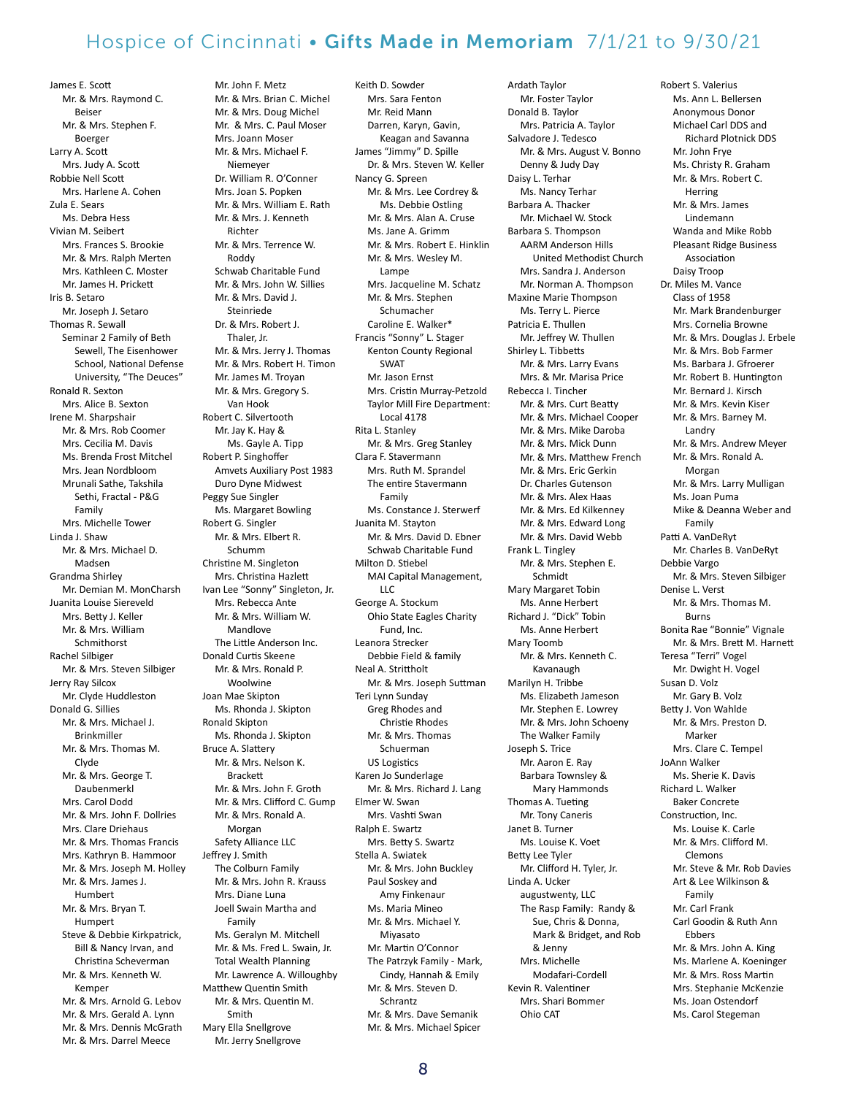James E. Scott Mr. & Mrs. Raymond C. Beiser Mr. & Mrs. Stephen F. Boerger Larry A. Scott Mrs. Judy A. Scott Robbie Nell Scott Mrs. Harlene A. Cohen Zula E. Sears Ms. Debra Hess Vivian M. Seibert Mrs. Frances S. Brookie Mr. & Mrs. Ralph Merten Mrs. Kathleen C. Moster Mr. James H. Prickett Iris B. Setaro Mr. Joseph J. Setaro Thomas R. Sewall Seminar 2 Family of Beth Sewell, The Eisenhower School, National Defense University, "The Deuces" Ronald R. Sexton Mrs. Alice B. Sexton Irene M. Sharpshair Mr. & Mrs. Rob Coomer Mrs. Cecilia M. Davis Ms. Brenda Frost Mitchel Mrs. Jean Nordbloom Mrunali Sathe, Takshila Sethi, Fractal - P&G Family Mrs. Michelle Tower Linda J. Shaw Mr. & Mrs. Michael D. Madsen Grandma Shirley Mr. Demian M. MonCharsh Juanita Louise Siereveld Mrs. Betty J. Keller Mr. & Mrs. William Schmithorst Rachel Silbiger Mr. & Mrs. Steven Silbiger Jerry Ray Silcox Mr. Clyde Huddleston Donald G. Sillies Mr. & Mrs. Michael J. Brinkmiller Mr. & Mrs. Thomas M. Clyde Mr. & Mrs. George T. Daubenmerkl Mrs. Carol Dodd Mr. & Mrs. John F. Dollries Mrs. Clare Driehaus Mr. & Mrs. Thomas Francis Mrs. Kathryn B. Hammoor Mr. & Mrs. Joseph M. Holley Mr. & Mrs. James J. Humbert Mr. & Mrs. Bryan T. Humpert Steve & Debbie Kirkpatrick, Bill & Nancy Irvan, and Christina Scheverman Mr. & Mrs. Kenneth W. Kemper Mr. & Mrs. Arnold G. Lebov Mr. & Mrs. Gerald A. Lynn Mr. & Mrs. Dennis McGrath Mr. & Mrs. Darrel Meece

Mr. John F. Metz Mr. & Mrs. Brian C. Michel Mr. & Mrs. Doug Michel Mr. & Mrs. C. Paul Moser Mrs. Joann Moser Mr. & Mrs. Michael F. Niemeyer Dr. William R. O'Conner Mrs. Joan S. Popken Mr. & Mrs. William E. Rath Mr. & Mrs. J. Kenneth Richter Mr. & Mrs. Terrence W. Roddy Schwab Charitable Fund Mr. & Mrs. John W. Sillies Mr. & Mrs. David J. Steinriede Dr. & Mrs. Robert J. Thaler, Jr. Mr. & Mrs. Jerry J. Thomas Mr. & Mrs. Robert H. Timon Mr. James M. Troyan Mr. & Mrs. Gregory S. Van Hook Robert C. Silvertooth Mr. Jay K. Hay & Ms. Gayle A. Tipp Robert P. Singhoffer Amvets Auxiliary Post 1983 Duro Dyne Midwest Peggy Sue Singler Ms. Margaret Bowling Robert G. Singler Mr. & Mrs. Elbert R. Schumm Christine M. Singleton Mrs. Christina Hazlett Ivan Lee "Sonny" Singleton, Jr. Mrs. Rebecca Ante Mr. & Mrs. William W. Mandlove The Little Anderson Inc. Donald Curtis Skeene Mr. & Mrs. Ronald P. Woolwine Joan Mae Skipton Ms. Rhonda J. Skipton Ronald Skipton Ms. Rhonda J. Skipton Bruce A. Slattery Mr. & Mrs. Nelson K. **Brackett** Mr. & Mrs. John F. Groth Mr. & Mrs. Clifford C. Gump Mr. & Mrs. Ronald A. Morgan Safety Alliance LLC Jeffrey J. Smith The Colburn Family Mr. & Mrs. John R. Krauss Mrs. Diane Luna Joell Swain Martha and Family Ms. Geralyn M. Mitchell Mr. & Ms. Fred L. Swain, Jr. Total Wealth Planning Mr. Lawrence A. Willoughby Matthew Quentin Smith Mr. & Mrs. Quentin M. Smith Mary Ella Snellgrove Mr. Jerry Snellgrove

Keith D. Sowder Mrs. Sara Fenton Mr. Reid Mann Darren, Karyn, Gavin, Keagan and Savanna James "Jimmy" D. Spille Dr. & Mrs. Steven W. Keller Nancy G. Spreen Mr. & Mrs. Lee Cordrey & Ms. Debbie Ostling Mr. & Mrs. Alan A. Cruse Ms. Jane A. Grimm Mr. & Mrs. Robert E. Hinklin Mr. & Mrs. Wesley M. **Lampe** Mrs. Jacqueline M. Schatz Mr. & Mrs. Stephen Schumacher Caroline E. Walker\* Francis "Sonny" L. Stager Kenton County Regional SWAT Mr. Jason Ernst Mrs. Cristin Murray-Petzold Taylor Mill Fire Department: Local 4178 Rita L. Stanley Mr. & Mrs. Greg Stanley Clara F. Stavermann Mrs. Ruth M. Sprandel The entire Stavermann Family Ms. Constance J. Sterwerf Juanita M. Stayton Mr. & Mrs. David D. Ebner Schwab Charitable Fund Milton D. Stiebel MAI Capital Management, LLC George A. Stockum Ohio State Eagles Charity Fund, Inc. Leanora Strecker Debbie Field & family Neal A. Strittholt Mr. & Mrs. Joseph Suttman Teri Lynn Sunday Greg Rhodes and Christie Rhodes Mr. & Mrs. Thomas Schuerman US Logistics Karen Jo Sunderlage Mr. & Mrs. Richard J. Lang Elmer W. Swan Mrs. Vashti Swan Ralph E. Swartz Mrs. Betty S. Swartz Stella A. Swiatek Mr. & Mrs. John Buckley Paul Soskey and Amy Finkenaur Ms. Maria Mineo Mr. & Mrs. Michael Y. Miyasato Mr. Martin O'Connor The Patrzyk Family - Mark, Cindy, Hannah & Emily Mr. & Mrs. Steven D. Schrantz Mr. & Mrs. Dave Semanik Mr. & Mrs. Michael Spicer

Ardath Taylor Mr. Foster Taylor Donald B. Taylor Mrs. Patricia A. Taylor Salvadore J. Tedesco Mr. & Mrs. August V. Bonno Denny & Judy Day Daisy L. Terhar Ms. Nancy Terhar Barbara A. Thacker Mr. Michael W. Stock Barbara S. Thompson AARM Anderson Hills United Methodist Church Mrs. Sandra J. Anderson Mr. Norman A. Thompson Maxine Marie Thompson Ms. Terry L. Pierce Patricia E. Thullen Mr. Jeffrey W. Thullen Shirley L. Tibbetts Mr. & Mrs. Larry Evans Mrs. & Mr. Marisa Price Rebecca I. Tincher Mr. & Mrs. Curt Beatty Mr. & Mrs. Michael Cooper Mr. & Mrs. Mike Daroba Mr. & Mrs. Mick Dunn Mr. & Mrs. Matthew French Mr. & Mrs. Eric Gerkin Dr. Charles Gutenson Mr. & Mrs. Alex Haas Mr. & Mrs. Ed Kilkenney Mr. & Mrs. Edward Long Mr. & Mrs. David Webb Frank L. Tingley Mr. & Mrs. Stephen E. Schmidt Mary Margaret Tobin Ms. Anne Herbert Richard J. "Dick" Tobin Ms. Anne Herbert Mary Toomb Mr. & Mrs. Kenneth C. Kavanaugh Marilyn H. Tribbe Ms. Elizabeth Jameson Mr. Stephen E. Lowrey Mr. & Mrs. John Schoeny The Walker Family Joseph S. Trice Mr. Aaron E. Ray Barbara Townsley & Mary Hammonds Thomas A. Tueting Mr. Tony Caneris Janet B. Turner Ms. Louise K. Voet Betty Lee Tyler Mr. Clifford H. Tyler, Jr. Linda A. Ucker augustwenty, LLC The Rasp Family: Randy & Sue, Chris & Donna, Mark & Bridget, and Rob & Jenny Mrs. Michelle Modafari-Cordell Kevin R. Valentiner Mrs. Shari Bommer Ohio CAT

Robert S. Valerius Ms. Ann L. Bellersen Anonymous Donor Michael Carl DDS and Richard Plotnick DDS Mr. John Frye Ms. Christy R. Graham Mr. & Mrs. Robert C. **Herring** Mr. & Mrs. James Lindemann Wanda and Mike Robb Pleasant Ridge Business Association Daisy Troop Dr. Miles M. Vance Class of 1958 Mr. Mark Brandenburger Mrs. Cornelia Browne Mr. & Mrs. Douglas J. Erbele Mr. & Mrs. Bob Farmer Ms. Barbara J. Gfroerer Mr. Robert B. Huntington Mr. Bernard J. Kirsch Mr. & Mrs. Kevin Kiser Mr. & Mrs. Barney M. Landry Mr. & Mrs. Andrew Meyer Mr. & Mrs. Ronald A. Morgan Mr. & Mrs. Larry Mulligan Ms. Joan Puma Mike & Deanna Weber and Family Patti A. VanDeRyt Mr. Charles B. VanDeRyt Debbie Vargo Mr. & Mrs. Steven Silbiger Denise L. Verst Mr. & Mrs. Thomas M. Burns Bonita Rae "Bonnie" Vignale Mr. & Mrs. Brett M. Harnett Teresa "Terri" Vogel Mr. Dwight H. Vogel Susan D. Volz Mr. Gary B. Volz Betty J. Von Wahlde Mr. & Mrs. Preston D. Marker Mrs. Clare C. Tempel JoAnn Walker Ms. Sherie K. Davis Richard L. Walker Baker Concrete Construction, Inc. Ms. Louise K. Carle Mr. & Mrs. Clifford M. Clemons Mr. Steve & Mr. Rob Davies Art & Lee Wilkinson & Family Mr. Carl Frank Carl Goodin & Ruth Ann Ebbers Mr. & Mrs. John A. King Ms. Marlene A. Koeninger Mr. & Mrs. Ross Martin Mrs. Stephanie McKenzie Ms. Joan Ostendorf

Ms. Carol Stegeman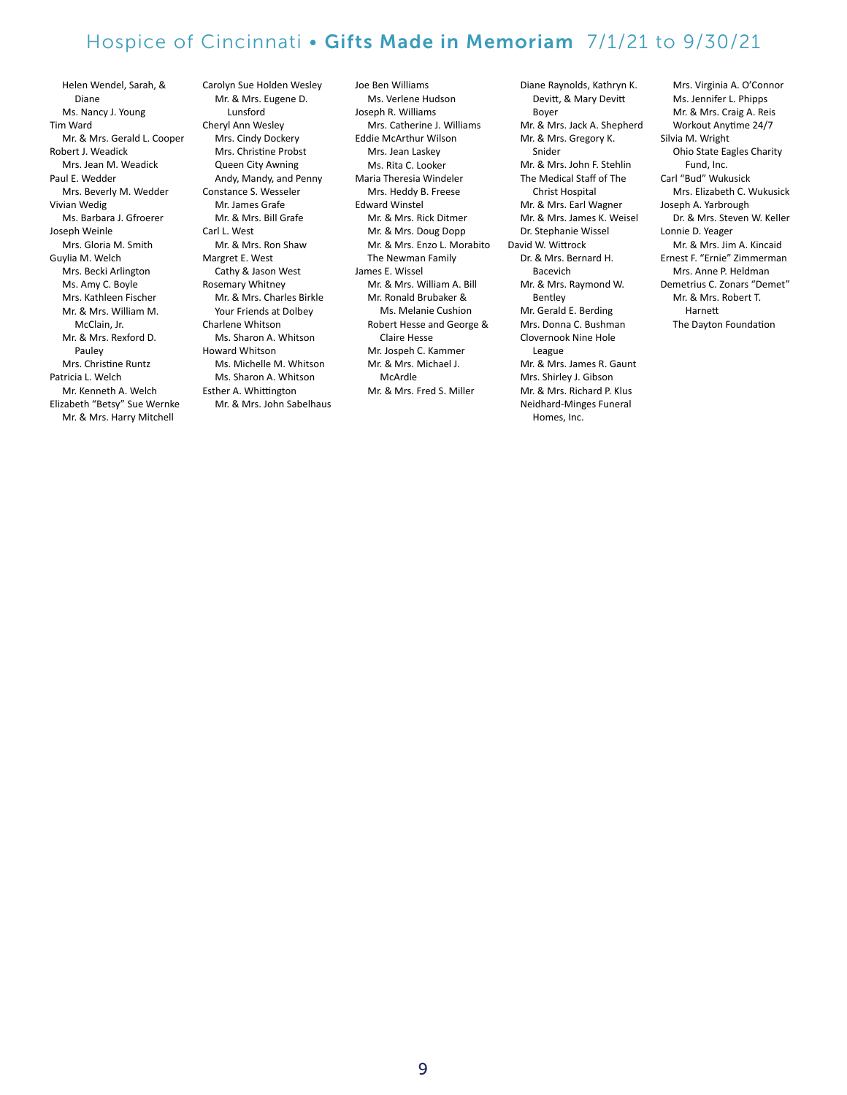Helen Wendel, Sarah, & Diane Ms. Nancy J. Young Tim Ward Mr. & Mrs. Gerald L. Cooper Robert J. Weadick Mrs. Jean M. Weadick Paul E. Wedder Mrs. Beverly M. Wedder Vivian Wedig Ms. Barbara J. Gfroerer Joseph Weinle Mrs. Gloria M. Smith Guylia M. Welch Mrs. Becki Arlington Ms. Amy C. Boyle Mrs. Kathleen Fischer Mr. & Mrs. William M. McClain, Jr. Mr. & Mrs. Rexford D. Pauley Mrs. Christine Runtz Patricia L. Welch Mr. Kenneth A. Welch Elizabeth "Betsy" Sue Wernke Mr. & Mrs. Harry Mitchell

Carolyn Sue Holden Wesley Mr. & Mrs. Eugene D. Lunsford Cheryl Ann Wesley Mrs. Cindy Dockery Mrs. Christine Probst Queen City Awning Andy, Mandy, and Penny Constance S. Wesseler Mr. James Grafe Mr. & Mrs. Bill Grafe Carl L. West Mr. & Mrs. Ron Shaw Margret E. West Cathy & Jason West Rosemary Whitney Mr. & Mrs. Charles Birkle Your Friends at Dolbey Charlene Whitson Ms. Sharon A. Whitson Howard Whitson Ms. Michelle M. Whitson Ms. Sharon A. Whitson Esther A. Whittington Mr. & Mrs. John Sabelhaus Joe Ben Williams Ms. Verlene Hudson Joseph R. Williams Mrs. Catherine J. Williams Eddie McArthur Wilson Mrs. Jean Laskey Ms. Rita C. Looker Maria Theresia Windeler Mrs. Heddy B. Freese Edward Winstel Mr. & Mrs. Rick Ditmer Mr. & Mrs. Doug Dopp Mr. & Mrs. Enzo L. Morabito The Newman Family James E. Wissel Mr. & Mrs. William A. Bill Mr. Ronald Brubaker & Ms. Melanie Cushion Robert Hesse and George & Claire Hesse Mr. Jospeh C. Kammer Mr. & Mrs. Michael J. McArdle Mr. & Mrs. Fred S. Miller

Diane Raynolds, Kathryn K. Devitt, & Mary Devitt Boyer Mr. & Mrs. Jack A. Shepherd Mr. & Mrs. Gregory K. Snider Mr. & Mrs. John F. Stehlin The Medical Staff of The Christ Hospital Mr. & Mrs. Earl Wagner Mr. & Mrs. James K. Weisel Dr. Stephanie Wissel David W. Wittrock Dr. & Mrs. Bernard H. Bacevich Mr. & Mrs. Raymond W. Bentley Mr. Gerald E. Berding Mrs. Donna C. Bushman Clovernook Nine Hole League Mr. & Mrs. James R. Gaunt Mrs. Shirley J. Gibson Mr. & Mrs. Richard P. Klus Neidhard-Minges Funeral Homes, Inc.

Mrs. Virginia A. O'Connor Ms. Jennifer L. Phipps Mr. & Mrs. Craig A. Reis Workout Anytime 24/7 Silvia M. Wright Ohio State Eagles Charity Fund, Inc. Carl "Bud" Wukusick Mrs. Elizabeth C. Wukusick Joseph A. Yarbrough Dr. & Mrs. Steven W. Keller Lonnie D. Yeager Mr. & Mrs. Jim A. Kincaid Ernest F. "Ernie" Zimmerman Mrs. Anne P. Heldman Demetrius C. Zonars "Demet" Mr. & Mrs. Robert T. Harnett The Dayton Foundation